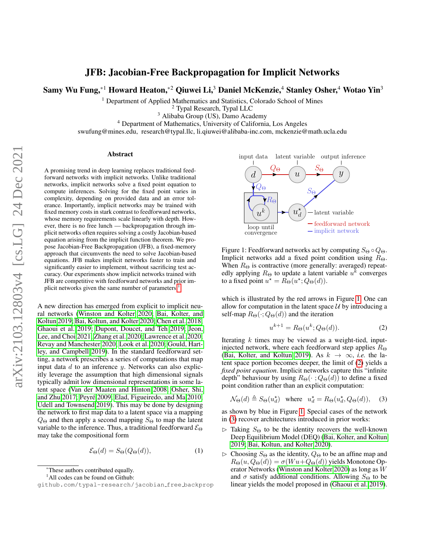# JFB: Jacobian-Free Backpropagation for Implicit Networks

Samy Wu Fung,\*<sup>1</sup> Howard Heaton,\*<sup>2</sup> Qiuwei Li,<sup>3</sup> Daniel McKenzie,<sup>4</sup> Stanley Osher,<sup>4</sup> Wotao Yin<sup>3</sup>

<sup>1</sup> Department of Applied Mathematics and Statistics, Colorado School of Mines

<sup>2</sup> Typal Research, Typal LLC

<sup>3</sup> Alibaba Group (US), Damo Academy

<sup>4</sup> Department of Mathematics, University of California, Los Angeles

swufung@mines.edu, research@typal.llc, li.qiuwei@alibaba-inc.com, mckenzie@math.ucla.edu

#### Abstract

A promising trend in deep learning replaces traditional feedforward networks with implicit networks. Unlike traditional networks, implicit networks solve a fixed point equation to compute inferences. Solving for the fixed point varies in complexity, depending on provided data and an error tolerance. Importantly, implicit networks may be trained with fixed memory costs in stark contrast to feedforward networks, whose memory requirements scale linearly with depth. However, there is no free lunch — backpropagation through implicit networks often requires solving a costly Jacobian-based equation arising from the implicit function theorem. We propose Jacobian-Free Backpropagation (JFB), a fixed-memory approach that circumvents the need to solve Jacobian-based equations. JFB makes implicit networks faster to train and significantly easier to implement, without sacrificing test accuracy. Our experiments show implicit networks trained with JFB are competitive with feedforward networks and prior im-plicit networks given the same number of parameters.<sup>[1](#page-0-0)</sup>

A new direction has emerged from explicit to implicit neural networks [\(Winston and Kolter 2020;](#page-8-0) [Bai, Kolter, and](#page-7-0) [Koltun 2019;](#page-7-0) [Bai, Koltun, and Kolter 2020;](#page-7-1) [Chen et al. 2018;](#page-7-2) [Ghaoui et al. 2019;](#page-7-3) [Dupont, Doucet, and Teh 2019;](#page-7-4) [Jeon,](#page-7-5) [Lee, and Choi 2021;](#page-7-5) [Zhang et al. 2020;](#page-8-1) [Lawrence et al. 2020;](#page-8-2) [Revay and Manchester 2020;](#page-8-3) [Look et al. 2020;](#page-8-4) [Gould, Hart](#page-7-6)[ley, and Campbell 2019\)](#page-7-6). In the standard feedforward setting, a network prescribes a series of computations that map input data  $d$  to an inference  $y$ . Networks can also explicitly leverage the assumption that high dimensional signals typically admit low dimensional representations in some latent space [\(Van der Maaten and Hinton 2008;](#page-8-5) [Osher, Shi,](#page-8-6) [and Zhu 2017;](#page-8-6) Peyré 2009; [Elad, Figueiredo, and Ma 2010;](#page-7-7) [Udell and Townsend 2019\)](#page-8-8). This may be done by designing the network to first map data to a latent space via a mapping  $Q_{\Theta}$  and then apply a second mapping  $S_{\Theta}$  to map the latent variable to the inference. Thus, a traditional feedforward  $\mathcal{E}_{\Theta}$ may take the compositional form

<span id="page-0-4"></span>
$$
\mathcal{E}_{\Theta}(d) = S_{\Theta}(Q_{\Theta}(d)),\tag{1}
$$

<span id="page-0-0"></span>\*These authors contributed equally.

<sup>1</sup>All codes can be found on Github:

<span id="page-0-1"></span>

Figure 1: Feedforward networks act by computing  $S_{\Theta} \circ Q_{\Theta}$ . Implicit networks add a fixed point condition using  $R_{\Theta}$ . When  $R_{\Theta}$  is contractive (more generally: averaged) repeatedly applying  $R_{\Theta}$  to update a latent variable  $u^{\overline{k}}$  converges to a fixed point  $u^* = R_{\Theta}(u^*; Q_{\Theta}(d)).$ 

which is illustrated by the red arrows in Figure [1.](#page-0-1) One can allow for computation in the latent space  $U$  by introducing a self-map  $R_{\Theta}(\cdot; Q_{\Theta}(d))$  and the iteration

<span id="page-0-2"></span>
$$
u^{k+1} = R_{\Theta}(u^k; Q_{\Theta}(d)).
$$
 (2)

Iterating  $k$  times may be viewed as a weight-tied, inputinjected network, where each feedforward step applies  $R_{\Theta}$ [\(Bai, Kolter, and Koltun 2019\)](#page-7-0). As  $k \to \infty$ , *i.e.* the latent space portion becomes deeper, the limit of [\(2\)](#page-0-2) yields a *fixed point equation*. Implicit networks capture this "infinite depth" behaviour by using  $R_{\Theta}(\cdot; Q_{\Theta}(d))$  to define a fixed point condition rather than an explicit computation:

<span id="page-0-3"></span>
$$
\mathcal{N}_{\Theta}(d) \triangleq S_{\Theta}(u_d^{\star}) \quad \text{where} \quad u_d^{\star} = R_{\Theta}(u_d^{\star}, Q_{\Theta}(d)), \quad (3)
$$

as shown by blue in Figure [1.](#page-0-1) Special cases of the network in [\(3\)](#page-0-3) recover architectures introduced in prior works:

- $\triangleright$  Taking  $S_{\Theta}$  to be the identity recovers the well-known Deep Equilibrium Model (DEQ) [\(Bai, Kolter, and Koltun](#page-7-0) [2019;](#page-7-0) [Bai, Koltun, and Kolter 2020\)](#page-7-1).
- $\triangleright$  Choosing  $S_{\Theta}$  as the identity,  $Q_{\Theta}$  to be an affine map and  $R_{\Theta}(u, Q_{\Theta}(d)) = \sigma(Wu+Q_{\Theta}(d))$  yields Monotone Operator Networks [\(Winston and Kolter 2020\)](#page-8-0) as long as W and  $\sigma$  satisfy additional conditions. Allowing  $S_{\Theta}$  to be linear yields the model proposed in [\(Ghaoui et al. 2019\)](#page-7-3).

github.com/typal-research/jacobian free backprop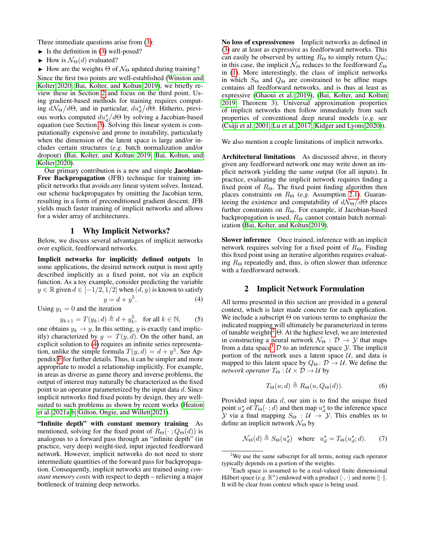Three immediate questions arise from [\(3\)](#page-0-3):

- $\blacktriangleright$  Is the definition in [\(3\)](#page-0-3) well-posed?
- $\blacktriangleright$  How is  $\mathcal{N}_{\Theta}(d)$  evaluated?

 $\blacktriangleright$  How are the weights  $\Theta$  of  $\mathcal{N}_{\Theta}$  updated during training?

Since the first two points are well-established [\(Winston and](#page-8-0) [Kolter 2020;](#page-8-0) [Bai, Kolter, and Koltun 2019\)](#page-7-0), we briefly review these in Section [2](#page-1-0) and focus on the third point. Using gradient-based methods for training requires computing  $d\mathcal{N}_{\Theta}/d\Theta$ , and in particular,  $du_d^{\star}/d\Theta$ . Hitherto, previous works computed  $du_d^{\star}/d\Theta$  by solving a Jacobian-based equation (see Section [3\)](#page-2-0). Solving this linear system is computationally expensive and prone to instability, particularly when the dimension of the latent space is large and/or includes certain structures (*e.g.* batch normalization and/or dropout) [\(Bai, Kolter, and Koltun 2019;](#page-7-0) [Bai, Koltun, and](#page-7-1) [Kolter 2020\)](#page-7-1).

Our primary contribution is a new and simple Jacobian-Free Backpropagation (JFB) technique for training implicit networks that avoids *any* linear system solves. Instead, our scheme backpropagates by omitting the Jacobian term, resulting in a form of preconditioned gradient descent. JFB yields much faster training of implicit networks and allows for a wider array of architectures.

#### 1 Why Implicit Networks?

<span id="page-1-5"></span>Below, we discuss several advantages of implicit networks over explicit, feedforward networks.

Implicit networks for implicitly defined outputs In some applications, the desired network output is most aptly described implicitly as a fixed point, not via an explicit function. As a toy example, consider predicting the variable  $y \in \mathbb{R}$  given  $d \in [-1/2, 1/2]$  when  $(d, y)$  is known to satisfy  $y = d + y^5$  $(4)$ 

Using 
$$
y_1 = 0
$$
 and the iteration

<span id="page-1-1"></span>
$$
y_{k+1} = T(y_k; d) \triangleq d + y_k^5, \text{ for all } k \in \mathbb{N}, \qquad (5)
$$

one obtains  $y_k \to y$ . In this setting, y is exactly (and implicitly) characterized by  $y = T(y, d)$ . On the other hand, an explicit solution to [\(4\)](#page-1-1) requires an infinite series representation, unlike the simple formula  $T(y, d) = d + y^5$ . See Appendix [F](#page-17-0) for further details. Thus, it can be simpler and more appropriate to model a relationship implicitly. For example, in areas as diverse as game theory and inverse problems, the output of interest may naturally be characterized as the fixed point to an operator parameterized by the input data  $d$ . Since implicit networks find fixed points by design, they are wellsuited to such problems as shown by recent works [\(Heaton](#page-7-8) [et al. 2021a,](#page-7-8)[b;](#page-7-9) [Gilton, Ongie, and Willett 2021\)](#page-7-10).

"Infinite depth" with constant memory training As mentioned, solving for the fixed point of  $R_{\Theta}(\cdot; Q_{\Theta}(d))$  is analogous to a forward pass through an "infinite depth" (in practice, very deep) weight-tied, input injected feedforward network. However, implicit networks do not need to store intermediate quantities of the forward pass for backpropagation. Consequently, implicit networks are trained using *constant memory costs* with respect to depth – relieving a major bottleneck of training deep networks.

No loss of expressiveness Implicit networks as defined in [\(3\)](#page-0-3) are at least as expressive as feedforward networks. This can easily be observed by setting  $R_{\Theta}$  to simply return  $Q_{\Theta}$ ; in this case, the implicit  $\mathcal{N}_{\Theta}$  reduces to the feedforward  $\mathcal{E}_{\Theta}$ in [\(1\)](#page-0-4). More interestingly, the class of implicit networks in which  $S_{\Theta}$  and  $Q_{\Theta}$  are constrained to be affine maps contains all feedforward networks, and is thus at least as expressive [\(Ghaoui et al. 2019\)](#page-7-3), [\(Bai, Kolter, and Koltun](#page-7-0) [2019,](#page-7-0) Theorem 3). Universal approximation properties of implicit networks then follow immediately from such properties of conventional deep neural models (*e.g.* see [\(Csaji et al. 2001;](#page-7-11) [Lu et al. 2017;](#page-8-9) [Kidger and Lyons 2020\)](#page-8-10)). ´

We also mention a couple limitations of implicit networks.

Architectural limitations As discussed above, in theory given any feedforward network one may write down an implicit network yielding the same output (for all inputs). In practice, evaluating the implicit network requires finding a fixed point of  $R_{\Theta}$ . The fixed point finding algorithm then places constraints on  $R_{\Theta}$  (*e.g.* Assumption [2.1\)](#page-2-1). Guaranteeing the existence and computability of  $dN_{\Theta}/d\Theta$  places further constraints on  $R_{\Theta}$ . For example, if Jacobian-based backpropagation is used,  $R_{\Theta}$  cannot contain batch normalization [\(Bai, Kolter, and Koltun 2019\)](#page-7-0).

Slower inference Once trained, inference with an implicit network requires solving for a fixed point of  $R_{\Theta}$ . Finding this fixed point using an iterative algorithm requires evaluating  $R_{\Theta}$  repeatedly and, thus, is often slower than inference with a feedforward network.

## 2 Implicit Network Formulation

<span id="page-1-0"></span>All terms presented in this section are provided in a general context, which is later made concrete for each application. We include a subscript  $\Theta$  on various terms to emphasize the indicated mapping will ultimately be parameterized in terms of tunable weights<sup>[2](#page-1-2)</sup>  $\Theta$ . At the highest level, we are interested in constructing a neural network  $\mathcal{N}_{\Theta} : \mathcal{D} \to \mathcal{Y}$  that maps from a data space<sup>[3](#page-1-3)</sup>  $D$  to an inference space  $Y$ . The implicit portion of the network uses a latent space  $U$ , and data is mapped to this latent space by  $Q_{\Theta} : \mathcal{D} \to \mathcal{U}$ . We define the *network operator*  $T_{\Theta}: \mathcal{U} \times \mathcal{D} \rightarrow \mathcal{U}$  by

$$
T_{\Theta}(u;d) \triangleq R_{\Theta}(u,Q_{\Theta}(d)). \tag{6}
$$

Provided input data d, our aim is to find the unique fixed point  $u_d^*$  of  $\overline{T}_{\Theta}(\cdot; d)$  and then map  $u_d^*$  to the inference space  $\mathcal Y$  via a final mapping  $S_{\Theta} : U \to V$ . This enables us to define an implicit network  $\mathcal{N}_{\Theta}$  by

<span id="page-1-4"></span>
$$
\mathcal{N}_{\Theta}(d) \triangleq S_{\Theta}(u_d^{\star}) \quad \text{where} \quad u_d^{\star} = T_{\Theta}(u_d^{\star}; d). \tag{7}
$$

<span id="page-1-2"></span> $2$ We use the same subscript for all terms, noting each operator typically depends on a portion of the weights.

<span id="page-1-3"></span><sup>&</sup>lt;sup>3</sup>Each space is assumed to be a real-valued finite dimensional Hilbert space  $(e.g. \mathbb{R}^n)$  endowed with a product  $\langle \cdot, \cdot \rangle$  and norm  $||\cdot||$ . It will be clear from context which space is being used.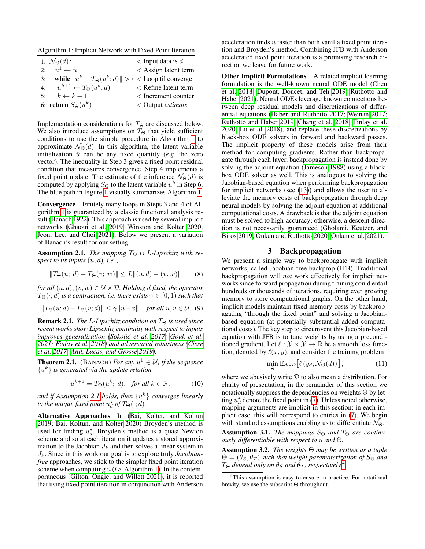<span id="page-2-2"></span>

| Algorithm 1: Implicit Network with Fixed Point Iteration |                                         |                                                                            |  |  |  |
|----------------------------------------------------------|-----------------------------------------|----------------------------------------------------------------------------|--|--|--|
|                                                          | 1: $\mathcal{N}_{\Theta}(d)$ :          | $\triangleleft$ Input data is d                                            |  |  |  |
|                                                          | 2: $u^1 \leftarrow \hat{u}$             | $\triangleleft$ Assign latent term                                         |  |  |  |
| 3:                                                       |                                         | while $  u^k - T_{\Theta}(u^k; d)   > \varepsilon \leq L$ oop til converge |  |  |  |
| 4:                                                       | $u^{k+1} \leftarrow T_{\Theta}(u^k; d)$ | $\triangleleft$ Refine latent term                                         |  |  |  |
|                                                          | 5: $k \leftarrow k+1$                   | $\triangleleft$ Increment counter                                          |  |  |  |
|                                                          | 6: return $S_{\Theta}(u^k)$             | $\triangleleft$ Output <i>estimate</i>                                     |  |  |  |

Implementation considerations for  $T_{\Theta}$  are discussed below. We also introduce assumptions on  $T_{\Theta}$  that yield sufficient conditions to use the simple procedure in Algorithm [1](#page-2-2) to approximate  $\mathcal{N}_{\Theta}(d)$ . In this algorithm, the latent variable initialization  $\hat{u}$  can be any fixed quantity (*e.g.* the zero vector). The inequality in Step 3 gives a fixed point residual condition that measures convergence. Step 4 implements a fixed point update. The estimate of the inference  $N_{\Theta}(d)$  is computed by applying  $S_{\Theta}$  to the latent variable  $u^k$  in Step 6. The blue path in Figure [1](#page-0-1) visually summarizes Algorithm [1.](#page-2-2)

Convergence Finitely many loops in Steps 3 and 4 of Algorithm [1](#page-2-2) is guaranteed by a classic functional analysis result [\(Banach 1922\)](#page-7-12). This approach is used by several implicit networks [\(Ghaoui et al. 2019;](#page-7-3) [Winston and Kolter 2020;](#page-8-0) [Jeon, Lee, and Choi 2021\)](#page-7-5). Below we present a variation of Banach's result for our setting.

<span id="page-2-1"></span>**Assumption 2.1.** *The mapping*  $T_{\Theta}$  *is L-Lipschitz with respect to its inputs* (u, d)*, i.e. ,*

$$
||T_{\Theta}(u; d) - T_{\Theta}(v; w)|| \le L ||(u, d) - (v, w)||,
$$
 (8)

*for all*  $(u, d)$ ,  $(v, w) \in U \times \mathcal{D}$ . *Holding d fixed, the operator*  $T_{\Theta}(\cdot; d)$  *is a contraction, i.e. there exists*  $\gamma \in [0, 1)$  *such that* 

<span id="page-2-5"></span>
$$
||T_{\Theta}(u; d) - T_{\Theta}(v; d)|| \le \gamma ||u - v||, \text{ for all } u, v \in \mathcal{U}.
$$
 (9)

**Remark 2.1.** *The L-Lipschitz condition on*  $T_{\Theta}$  *is used since recent works show Lipschitz continuity with respect to inputs improves generalization [\(Sokolic et al. 2017;](#page-8-11) [Gouk et al.](#page-7-13) ´ [2021;](#page-7-13) [Finlay et al. 2018\)](#page-7-14) and adversarial robustness [\(Cisse](#page-7-15) [et al. 2017;](#page-7-15) [Anil, Lucas, and Grosse 2019\)](#page-7-16).*

**Theorem 2.1.** (BANACH) *For any*  $u^1 \in \mathcal{U}$ , *if the sequence* {u <sup>k</sup>} *is generated via the update relation*

$$
u^{k+1} = T_{\Theta}(u^k; d), \text{ for all } k \in \mathbb{N}, \tag{10}
$$

*and if Assumption [2.1](#page-2-1) holds, then* {u <sup>k</sup>} *converges linearly to the unique fixed point*  $u_d^*$  *of*  $T_{\Theta}(\cdot; d)$ *.* 

Alternative Approaches In [\(Bai, Kolter, and Koltun](#page-7-0) [2019;](#page-7-0) [Bai, Koltun, and Kolter 2020\)](#page-7-1) Broyden's method is used for finding  $u_d^*$ . Broyden's method is a quasi-Newton scheme and so at each iteration it updates a stored approximation to the Jacobian  $J_k$  and then solves a linear system in Jk. Since in this work our goal is to explore truly *Jacobianfree* approaches, we stick to the simpler fixed point iteration scheme when computing  $\tilde{u}$  (*i.e.* Algorithm [1\)](#page-2-2). In the contemporaneous [\(Gilton, Ongie, and Willett 2021\)](#page-7-10), it is reported that using fixed point iteration in conjunction with Anderson

acceleration finds  $\tilde{u}$  faster than both vanilla fixed point iteration and Broyden's method. Combining JFB with Anderson accelerated fixed point iteration is a promising research direction we leave for future work.

Other Implicit Formulations A related implicit learning formulation is the well-known neural ODE model [\(Chen](#page-7-2) [et al. 2018;](#page-7-2) [Dupont, Doucet, and Teh 2019;](#page-7-4) [Ruthotto and](#page-8-12) [Haber 2021\)](#page-8-12). Neural ODEs leverage known connections between deep residual models and discretizations of differential equations [\(Haber and Ruthotto 2017;](#page-7-17) [Weinan 2017;](#page-8-13) [Ruthotto and Haber 2019;](#page-8-14) [Chang et al. 2018;](#page-7-18) [Finlay et al.](#page-7-19) [2020;](#page-7-19) [Lu et al. 2018\)](#page-8-15), and replace these discretizations by black-box ODE solvers in forward and backward passes. The implicit property of these models arise from their method for computing gradients. Rather than backpropagate through each layer, backpropagation is instead done by solving the adjoint equation [\(Jameson 1988\)](#page-7-20) using a blackbox ODE solver as well. This is analogous to solving the Jacobian-based equation when performing backpropagation for implicit networks (see [\(13\)](#page-3-0)) and allows the user to alleviate the memory costs of backpropagation through deep neural models by solving the adjoint equation at additional computational costs. A drawback is that the adjoint equation must be solved to high-accuracy; otherwise, a descent direction is not necessarily guaranteed [\(Gholami, Keutzer, and](#page-7-21) [Biros 2019;](#page-7-21) [Onken and Ruthotto 2020;](#page-8-16) [Onken et al. 2021\)](#page-8-17).

## 3 Backpropagation

<span id="page-2-0"></span>We present a simple way to backpropagate with implicit networks, called Jacobian-free backprop (JFB). Traditional backpropagation will *not* work effectively for implicit networks since forward propagation during training could entail hundreds or thousands of iterations, requiring ever growing memory to store computational graphs. On the other hand, implicit models maintain fixed memory costs by backpropagating "through the fixed point" and solving a Jacobianbased equation (at potentially substantial added computational costs). The key step to circumvent this Jacobian-based equation with JFB is to tune weights by using a preconditioned gradient. Let  $\ell : \mathcal{Y} \times \mathcal{Y} \to \mathbb{R}$  be a smooth loss function, denoted by  $\ell(x, y)$ , and consider the training problem

$$
\min_{\Theta} \mathbb{E}_{d \sim \mathcal{D}} \left[ \ell \left( y_d, \mathcal{N}_{\Theta}(d) \right) \right],\tag{11}
$$

where we abusively write  $D$  to also mean a distribution. For clarity of presentation, in the remainder of this section we notationally suppress the dependencies on weights  $\Theta$  by letting  $u_d^*$  denote the fixed point in [\(7\)](#page-1-4). Unless noted otherwise, mapping arguments are implicit in this section; in each implicit case, this will correspond to entries in [\(7\)](#page-1-4). We begin with standard assumptions enabling us to differentiate  $\mathcal{N}_{\Theta}$ .

<span id="page-2-6"></span>**Assumption 3.1.** *The mappings*  $S_{\Theta}$  *and*  $T_{\Theta}$  *are continuously differentiable with respect to* u *and* Θ*.*

<span id="page-2-4"></span>Assumption 3.2. *The weights* Θ *may be written as a tuple*  $\Theta = (\theta_S, \theta_T)$  *such that weight paramaterization of*  $S_{\Theta}$  *and*  $T_{\Theta}$  *depend only on*  $\theta_S$  *and*  $\theta_T$ *, respectively.*<sup>[4](#page-2-3)</sup>

<span id="page-2-3"></span><sup>&</sup>lt;sup>4</sup>This assumption is easy to ensure in practice. For notational brevity, we use the subscript Θ throughout.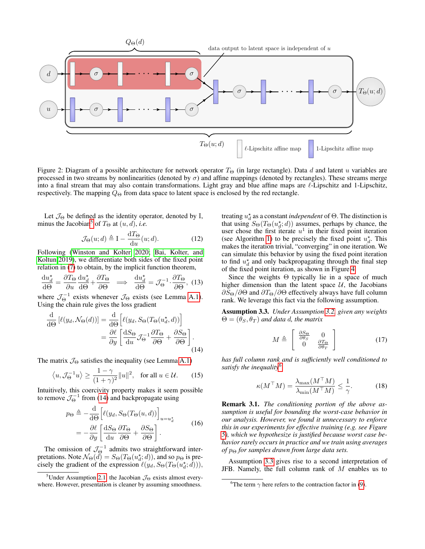

Figure 2: Diagram of a possible architecture for network operator  $T_{\Theta}$  (in large rectangle). Data d and latent u variables are processed in two streams by nonlinearities (denoted by  $\sigma$ ) and affine mappings (denoted by rectangles). These streams merge into a final stream that may also contain transformations. Light gray and blue affine maps are  $\ell$ -Lipschitz and 1-Lipschitz, respectively. The mapping  $Q_{\Theta}$  from data space to latent space is enclosed by the red rectangle.

Let  $\mathcal{J}_{\Theta}$  be defined as the identity operator, denoted by I, minus the Jacobian<sup>[5](#page-3-1)</sup> of  $T_{\Theta}$  at  $(u, d)$ , *i.e.* 

<span id="page-3-5"></span>
$$
\mathcal{J}_{\Theta}(u; d) \triangleq \mathbf{I} - \frac{\mathrm{d}T_{\Theta}}{\mathrm{d}u}(u; d). \tag{12}
$$

Following [\(Winston and Kolter 2020;](#page-8-0) [Bai, Kolter, and](#page-7-0) [Koltun 2019\)](#page-7-0), we differentiate both sides of the fixed point relation in [\(7\)](#page-1-4) to obtain, by the implicit function theorem,

<span id="page-3-0"></span>
$$
\frac{\mathrm{d}u_d^*}{\mathrm{d}\Theta} = \frac{\partial T_{\Theta}}{\partial u}\frac{\mathrm{d}u_d^*}{\mathrm{d}\Theta} + \frac{\partial T_{\Theta}}{\partial \Theta} \implies \frac{\mathrm{d}u_d^*}{\mathrm{d}\Theta} = \mathcal{J}_{\Theta}^{-1} \cdot \frac{\partial T_{\Theta}}{\partial \Theta}, (13)
$$

where  $\mathcal{J}_{\Theta}^{-1}$  exists whenever  $\mathcal{J}_{\Theta}$  exists (see Lemma [A.1\)](#page-9-0). Using the chain rule gives the loss gradient

<span id="page-3-2"></span>
$$
\frac{\mathrm{d}}{\mathrm{d}\Theta} \left[ \ell(y_d, \mathcal{N}_{\Theta}(d)) \right] = \frac{\mathrm{d}}{\mathrm{d}\Theta} \left[ \ell(y_d, S_{\Theta}(T_{\Theta}(u_d^{\star}, d)) \right] \n= \frac{\partial \ell}{\partial y} \left[ \frac{\mathrm{d}S_{\Theta}}{\mathrm{d}u} \mathcal{J}_{\Theta}^{-1} \frac{\partial T_{\Theta}}{\partial \Theta} + \frac{\partial S_{\Theta}}{\partial \Theta} \right].
$$
\n(14)

The matrix  $\mathcal{J}_{\Theta}$  satisfies the inequality (see Lemma [A.1\)](#page-9-0)

$$
\langle u, \mathcal{J}_{\Theta}^{-1} u \rangle \ge \frac{1 - \gamma}{(1 + \gamma)^2} ||u||^2
$$
, for all  $u \in \mathcal{U}$ . (15)

Intuitively, this coercivity property makes it seem possible to remove  $\mathcal{J}_{\Theta}^{-1}$  from [\(14\)](#page-3-2) and backpropagate using

$$
p_{\Theta} \triangleq -\frac{\mathrm{d}}{\mathrm{d}\Theta} \left[ \ell(y_d, S_{\Theta}(T_{\Theta}(u, d)) \right]_{u=u_d^*}
$$
  
= 
$$
-\frac{\partial \ell}{\partial y} \left[ \frac{\mathrm{d}S_{\Theta}}{\mathrm{d}u} \frac{\partial T_{\Theta}}{\partial \Theta} + \frac{\partial S_{\Theta}}{\partial \Theta} \right].
$$
 (16)

The omission of  $\mathcal{J}_{\Theta}^{-1}$  admits two straightforward interpretations. Note  $\mathcal{N}_{\Theta}(d) = S_{\Theta}(T_{\Theta}(u_d^*, d)),$  and so  $p_{\Theta}$  is precisely the gradient of the expression  $\ell(y_d, S_{\Theta}(T_{\Theta}(u_d^*, d))),$ 

treating  $u_d^*$  as a constant *independent* of  $\Theta$ . The distinction is that using  $S_{\Theta}(T_{\Theta}(u_d^*; d))$  assumes, perhaps by chance, the user chose the first iterate  $u^1$  in their fixed point iteration (see Algorithm [1\)](#page-2-2) to be precisely the fixed point  $u_d^*$ . This makes the iteration trivial, "converging" in one iteration. We can simulate this behavior by using the fixed point iteration to find  $u_d^*$  and only backpropagating through the final step of the fixed point iteration, as shown in Figure [4.](#page-5-0)

Since the weights Θ typically lie in a space of much higher dimension than the latent space  $U$ , the Jacobians  $\partial S_{\Theta}/\partial\Theta$  and  $\partial T_{\Theta}/\partial\Theta$  effectively always have full column rank. We leverage this fact via the following assumption.

<span id="page-3-4"></span>Assumption 3.3. *Under Assumption [3.2,](#page-2-4) given any weights*  $\Theta = (\theta_S, \theta_T)$  *and data d, the matrix* 

<span id="page-3-6"></span>
$$
M \triangleq \left[ \begin{array}{cc} \frac{\partial S_{\Theta}}{\partial \theta_{S}} & 0\\ 0 & \frac{\partial T_{\Theta}}{\partial \theta_{T}} \end{array} \right] \tag{17}
$$

*has full column rank and is sufficiently well conditioned to satisfy the inequality*[6](#page-3-3)

<span id="page-3-7"></span>
$$
\kappa(M^{\top}M) = \frac{\lambda_{\max}(M^{\top}M)}{\lambda_{\min}(M^{\top}M)} \le \frac{1}{\gamma}.
$$
 (18)

Remark 3.1. *The conditioning portion of the above assumption is useful for bounding the worst-case behavior in our analysis. However, we found it unnecessary to enforce this in our experiments for effective training (e.g. see Figure [5\)](#page-6-0), which we hypothesize is justified because worst case behavior rarely occurs in practice and we train using averages of*  $p_{\Theta}$  *for samples drawn from large data sets.* 

Assumption [3.3](#page-3-4) gives rise to a second interpretation of JFB. Namely, the full column rank of  $M$  enables us to

<span id="page-3-1"></span><sup>&</sup>lt;sup>5</sup>Under Assumption [2.1,](#page-2-1) the Jacobian  $\mathcal{J}_{\Theta}$  exists almost everywhere. However, presentation is cleaner by assuming smoothness.

<span id="page-3-3"></span><sup>&</sup>lt;sup>6</sup>The term  $\gamma$  here refers to the contraction factor in [\(9\)](#page-2-5).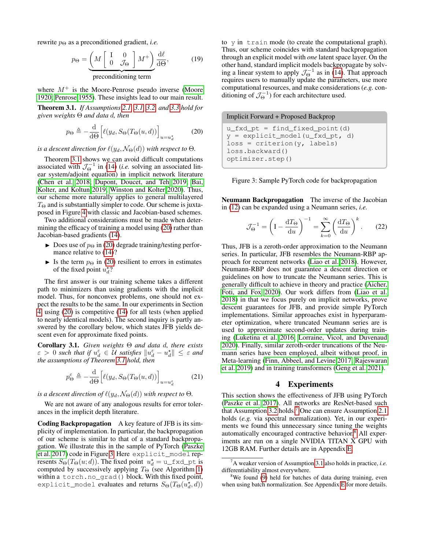rewrite  $p_{\Theta}$  as a preconditioned gradient, *i.e.* 

$$
p_{\Theta} = \underbrace{\left(M \begin{bmatrix} I & 0 \\ 0 & \mathcal{J}_{\Theta} \end{bmatrix} M^{+}\right) \frac{d\ell}{d\Theta},}_{\text{preconditioning term}}, \qquad (19)
$$

where  $M^+$  is the Moore-Penrose pseudo inverse [\(Moore](#page-8-18) [1920;](#page-8-18) [Penrose 1955\)](#page-8-19). These insights lead to our main result.

<span id="page-4-0"></span>Theorem 3.1. *If Assumptions [2.1,](#page-2-1) [3.1,](#page-2-6) [3.2,](#page-2-4) and [3.3](#page-3-4) hold for given weights* Θ *and data* d*, then*

<span id="page-4-1"></span>
$$
p_{\Theta} \triangleq -\frac{\mathrm{d}}{\mathrm{d}\Theta} \Big[ \ell(y_d, S_{\Theta}(T_{\Theta}(u, d)) \Big]_{u=u_d^*} \tag{20}
$$

*is a descent direction for*  $\ell(y_d, \mathcal{N}_{\Theta}(d))$  *with respect to*  $\Theta$ *.* 

Theorem [3.1](#page-4-0) shows we can avoid difficult computations associated with  $\mathcal{J}_{\Theta}^{-1}$  in [\(14\)](#page-3-2) (*i.e.* solving an associated linear system/adjoint equation) in implicit network literature [\(Chen et al. 2018;](#page-7-2) [Dupont, Doucet, and Teh 2019;](#page-7-4) [Bai,](#page-7-0) [Kolter, and Koltun 2019;](#page-7-0) [Winston and Kolter 2020\)](#page-8-0). Thus, our scheme more naturally applies to general multilayered  $T_{\Theta}$  and is substantially simpler to code. Our scheme is juxtaposed in Figure [4](#page-5-0) with classic and Jacobian-based schemes.

Two additional considerations must be made when determining the efficacy of training a model using [\(20\)](#page-4-1) rather than Jacobian-based gradients [\(14\)](#page-3-2).

- $\triangleright$  Does use of  $p_{\Theta}$  in [\(20\)](#page-4-1) degrade training/testing performance relative to [\(14\)](#page-3-2)?
- In Is the term  $p_{\Theta}$  in [\(20\)](#page-4-1) resilient to errors in estimates of the fixed point  $u_d^*$ ?

The first answer is our training scheme takes a different path to minimizers than using gradients with the implicit model. Thus, for nonconvex problems, one should not expect the results to be the same. In our experiments in Section [4,](#page-4-2) using [\(20\)](#page-4-1) is competitive [\(14\)](#page-3-2) for all tests (when applied to nearly identical models). The second inquiry is partly answered by the corollary below, which states JFB yields descent even for approximate fixed points.

<span id="page-4-7"></span>Corollary 3.1. *Given weights* Θ *and data* d*, there exists*  $\epsilon > 0$  such that if  $u_d^{\epsilon} \in U$  satisfies  $\|u_d^{\epsilon} - u_d^{\star}\| \leq \epsilon$  and *the assumptions of Theorem [3.1](#page-4-0) hold, then*

$$
p_{\Theta}^{\varepsilon} \triangleq -\frac{\mathrm{d}}{\mathrm{d}\Theta} \Big[ \ell(y_d, S_{\Theta}(T_{\Theta}(u, d)) \Big]_{u=u_d^{\varepsilon}} \tag{21}
$$

*is a descent direction of*  $\ell(y_d, \mathcal{N}_{\Theta}(d))$  *with respect to*  $\Theta$ *.* 

We are not aware of any analogous results for error tolerances in the implicit depth literature.

Coding Backpropagation A key feature of JFB is its simplicity of implementation. In particular, the backpropagation of our scheme is similar to that of a standard backpropagation. We illustrate this in the sample of PyTorch [\(Paszke](#page-8-20) [et al. 2017\)](#page-8-20) code in Figure [3.](#page-4-3) Here explicit\_model represents  $S_{\Theta}(T_{\Theta}(u; d))$ . The fixed point  $u_d^* = u_f x_d t$  is computed by successively applying  $T_{\Theta}$  (see Algorithm [1\)](#page-2-2) within a torch.no\_grad() block. With this fixed point, explicit\_model evaluates and returns  $S_{\Theta}(T_{\Theta}(u_{d}^{\star},d))$ 

to y in train mode (to create the computational graph). Thus, our scheme coincides with standard backpropagation through an explicit model with *one* latent space layer. On the other hand, standard implicit models backpropagate by solving a linear system to apply  $\mathcal{J}_{\Theta}^{-1}$  as in [\(14\)](#page-3-2). That approach requires users to manually update the parameters, use more computational resources, and make considerations (*e.g.* conditioning of  $\mathcal{J}_{\Theta}^{-1}$ ) for each architecture used.

<span id="page-4-3"></span>Implicit Forward + Proposed Backprop

u\_fxd\_pt = find\_fixed\_point(d) y = explicit\_model(u\_fxd\_pt, d)  $loss = criterion(y, labels)$ loss.backward() optimizer.step()



Neumann Backpropagation The inverse of the Jacobian in [\(12\)](#page-3-5) can be expanded using a Neumann series, *i.e.*

<span id="page-4-6"></span>
$$
\mathcal{J}_{\Theta}^{-1} = \left(I - \frac{\mathrm{d}T_{\Theta}}{\mathrm{d}u}\right)^{-1} = \sum_{k=0}^{\infty} \left(\frac{\mathrm{d}T_{\Theta}}{\mathrm{d}u}\right)^k. \tag{22}
$$

Thus, JFB is a zeroth-order approximation to the Neumann series. In particular, JFB resembles the Neumann-RBP approach for recurrent networks [\(Liao et al. 2018\)](#page-8-21). However, Neumann-RBP does not guarantee a descent direction or guidelines on how to truncate the Neumann series. This is generally difficult to achieve in theory and practice [\(Aicher,](#page-7-22) [Foti, and Fox 2020\)](#page-7-22). Our work differs from [\(Liao et al.](#page-8-21) [2018\)](#page-8-21) in that we focus purely on implicit networks, prove descent guarantees for JFB, and provide simple PyTorch implementations. Similar approaches exist in hyperparameter optimization, where truncated Neumann series are is used to approximate second-order updates during training [\(Luketina et al. 2016;](#page-8-22) [Lorraine, Vicol, and Duvenaud](#page-8-23) [2020\)](#page-8-23). Finally, similar zeroth-order truncations of the Neumann series have been employed, albeit without proof, in Meta-learning [\(Finn, Abbeel, and Levine 2017;](#page-7-23) [Rajeswaran](#page-8-24) [et al. 2019\)](#page-8-24) and in training transformers [\(Geng et al. 2021\)](#page-7-24).

## 4 Experiments

<span id="page-4-2"></span>This section shows the effectiveness of JFB using PyTorch [\(Paszke et al. 2017\)](#page-8-20). All networks are ResNet-based such that Assumption [3.2](#page-2-4) holds.<sup>[7](#page-4-4)</sup> One can ensure Assumption [2.1](#page-2-1) holds (*e.g.* via spectral normalization). Yet, in our experiments we found this unnecessary since tuning the weights automatically encouraged contractive behavior.<sup>[8](#page-4-5)</sup> All experiments are run on a single NVIDIA TITAN X GPU with 12GB RAM. Further details are in Appendix [E.](#page-17-1)

<span id="page-4-4"></span><sup>7</sup>A weaker version of Assumption [3.1](#page-2-6) also holds in practice, *i.e.* differentiability almost everywhere.

<span id="page-4-5"></span> $8$ We found [\(9\)](#page-2-5) held for batches of data during training, even when using batch normalization. See Appendix [E](#page-17-1) for more details.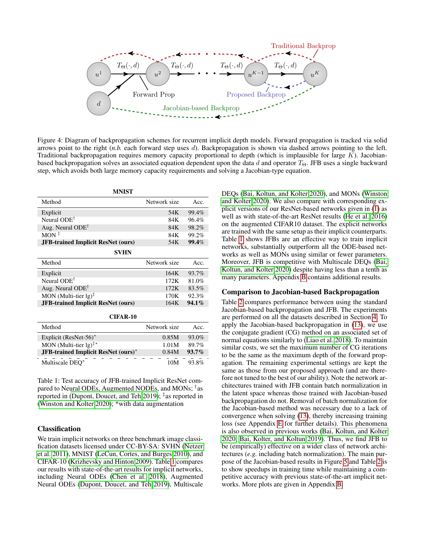<span id="page-5-0"></span>

Figure 4: Diagram of backpropagation schemes for recurrent implicit depth models. Forward propagation is tracked via solid arrows point to the right (*n.b.* each forward step uses d). Backpropagation is shown via dashed arrows pointing to the left. Traditional backpropagation requires memory capacity proportional to depth (which is implausible for large  $K$ ). Jacobianbased backpropagation solves an associated equation dependent upon the data d and operator  $T_{\Theta}$ . JFB uses a single backward step, which avoids both large memory capacity requirements and solving a Jacobian-type equation.

<span id="page-5-1"></span>

| <b>MNIST</b>                              |              |          |  |  |  |  |  |
|-------------------------------------------|--------------|----------|--|--|--|--|--|
| Method                                    | Network size | Acc.     |  |  |  |  |  |
| Explicit                                  | 54K          | 99.4%    |  |  |  |  |  |
| Neural $ODE^{\dagger}$                    | 84K          | 96.4%    |  |  |  |  |  |
| Aug. Neural $ODE^{\dagger}$               | 84K          | 98.2%    |  |  |  |  |  |
| $MON^{\ddagger}$                          | 84K          | 99.2%    |  |  |  |  |  |
| <b>JFB-trained Implicit ResNet (ours)</b> | 54K          | 99.4%    |  |  |  |  |  |
| SVHN                                      |              |          |  |  |  |  |  |
| Method                                    | Network size | Acc.     |  |  |  |  |  |
|                                           |              |          |  |  |  |  |  |
| Explicit                                  | 164K         | 93.7%    |  |  |  |  |  |
| Neural ODE <sup>†</sup>                   | 172K         | 81.0%    |  |  |  |  |  |
| Aug. Neural $ODE^{\dagger}$               | 172K         | 83.5%    |  |  |  |  |  |
| MON (Multi-tier $lg$ ) <sup>‡</sup>       | 170K         | 92.3%    |  |  |  |  |  |
| <b>JFB-trained Implicit ResNet (ours)</b> | 164K         | $94.1\%$ |  |  |  |  |  |

| Method                                                   | Network size | Acc.     |
|----------------------------------------------------------|--------------|----------|
| Explicit (ResNet-56) $*$                                 | 0.85M        | 93.0%    |
| MON (Multi-tier $lg$ ) <sup><math>\ddagger</math>*</sup> | 1.01M        | 89.7%    |
| <b>JFB-trained Implicit ResNet (ours)*</b>               | 0.84M        | $93.7\%$ |
| Multiscale DEO*                                          | 10M          | 93.8%    |

Table 1: Test accuracy of JFB-trained Implicit ResNet compared to Neural ODEs, Augmented NODEs, and MONs; † as reported in [\(Dupont, Doucet, and Teh 2019\)](#page-7-4); ‡ as reported in [\(Winston and Kolter 2020\)](#page-8-0); \*with data augmentation

## <span id="page-5-2"></span>Classification

We train implicit networks on three benchmark image classification datasets licensed under CC-BY-SA: SVHN [\(Netzer](#page-8-25) [et al. 2011\)](#page-8-25), MNIST [\(LeCun, Cortes, and Burges 2010\)](#page-8-26), and CIFAR-10 [\(Krizhevsky and Hinton 2009\)](#page-8-27). Table [1](#page-5-1) compares our results with state-of-the-art results for implicit networks, including Neural ODEs [\(Chen et al. 2018\)](#page-7-2), Augmented Neural ODEs [\(Dupont, Doucet, and Teh 2019\)](#page-7-4), Multiscale

DEQs [\(Bai, Koltun, and Kolter 2020\)](#page-7-1), and MONs [\(Winston](#page-8-0) [and Kolter 2020\)](#page-8-0). We also compare with corresponding explicit versions of our ResNet-based networks given in [\(1\)](#page-0-4) as well as with state-of-the-art ResNet results [\(He et al. 2016\)](#page-7-25) on the augmented CIFAR10 dataset. The explicit networks are trained with the same setup as their implicit counterparts. Table [1](#page-5-1) shows JFBs are an effective way to train implicit networks, substantially outperform all the ODE-based networks as well as MONs using similar or fewer parameters. Moreover, JFB is competitive with Multiscale DEQs [\(Bai,](#page-7-1) [Koltun, and Kolter 2020\)](#page-7-1) despite having less than a tenth as many parameters. Appendix [B](#page-13-0) contains additional results.

#### <span id="page-5-3"></span>Comparison to Jacobian-based Backpropagation

Table [2](#page-6-1) compares performance between using the standard Jacobian-based backpropagation and JFB. The experiments are performed on all the datasets described in Section [4.](#page-5-2) To apply the Jacobian-based backpropagation in [\(13\)](#page-3-0), we use the conjugate gradient (CG) method on an associated set of normal equations similarly to [\(Liao et al. 2018\)](#page-8-21). To maintain similar costs, we set the maximum number of CG iterations to be the same as the maximum depth of the forward propagation. The remaining experimental settings are kept the same as those from our proposed approach (and are therefore not tuned to the best of our ability). Note the network architectures trained with JFB contain batch normalization in the latent space whereas those trained with Jacobian-based backpropagation do not. Removal of batch normalization for the Jacobian-based method was necessary due to a lack of convergence when solving [\(13\)](#page-3-0), thereby increasing training loss (see Appendix [E](#page-17-1) for further details). This phenomena is also observed in previous works [\(Bai, Koltun, and Kolter](#page-7-1) [2020;](#page-7-1) [Bai, Kolter, and Koltun 2019\)](#page-7-0). Thus, we find JFB to be (empirically) effective on a wider class of network architectures (*e.g.* including batch normalization). The main purpose of the Jacobian-based results in Figure [5](#page-6-0) and Table [2](#page-6-1) is to show speedups in training time while maintaining a competitive accuracy with previous state-of-the-art implicit networks. More plots are given in Appendix [B.](#page-13-0)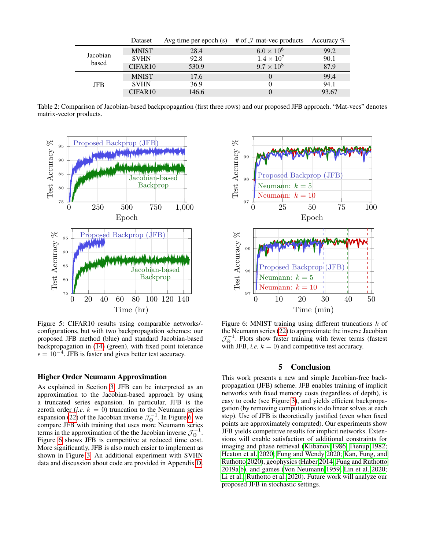<span id="page-6-1"></span>

|            | Dataset             | Avg time per epoch $(s)$ | # of $\mathcal J$ mat-vec products | Accuracy $%$ |
|------------|---------------------|--------------------------|------------------------------------|--------------|
|            | <b>MNIST</b>        | 28.4                     | $6.0 \times 10^6$                  | 99.2         |
| Jacobian   | <b>SVHN</b>         | 92.8                     | $1.4 \times 10^{7}$                | 90.1         |
| based      | CIFAR <sub>10</sub> | 530.9                    | $9.7 \times 10^8$                  | 87.9         |
|            | <b>MNIST</b>        | 17.6                     |                                    | 99.4         |
| <b>JFB</b> | <b>SVHN</b>         | 36.9                     |                                    | 94.1         |
|            | CIFAR <sub>10</sub> | 146.6                    |                                    | 93.67        |

Table 2: Comparison of Jacobian-based backpropagation (first three rows) and our proposed JFB approach. "Mat-vecs" denotes matrix-vector products.

<span id="page-6-0"></span>

Figure 5: CIFAR10 results using comparable networks/ configurations, but with two backpropagation schemes: our proposed JFB method (blue) and standard Jacobian-based backpropagation in [\(14\)](#page-3-2) (green), with fixed point tolerance  $\epsilon = 10^{-4}$ . JFB is faster and gives better test accuracy.

## Higher Order Neumann Approximation

As explained in Section [3,](#page-2-0) JFB can be interpreted as an approximation to the Jacobian-based approach by using a truncated series expansion. In particular, JFB is the zeroth order (*i.e.*  $k = 0$ ) truncation to the Neumann series expansion [\(22\)](#page-4-6) of the Jacobian inverse  $\mathcal{J}_{\Theta}^{-1}$ . In Figure [6,](#page-6-2) we compare JFB with training that uses more Neumann series terms in the approximation of the the Jacobian inverse  $\mathcal{J}_{\Theta}^{-1}$ . Figure [6](#page-6-2) shows JFB is competitive at reduced time cost. More significantly, JFB is also much easier to implement as shown in Figure [3.](#page-4-3) An additional experiment with SVHN data and discussion about code are provided in Appendix [D.](#page-16-0)

<span id="page-6-2"></span>

Figure 6: MNIST training using different truncations  $k$  of the Neumann series [\(22\)](#page-4-6) to approximate the inverse Jacobian  $\mathcal{J}_{\Theta}^{-1}$ . Plots show faster training with fewer terms (fastest with JFB, *i.e.*  $k = 0$ ) and competitive test accuracy.

## 5 Conclusion

This work presents a new and simple Jacobian-free backpropagation (JFB) scheme. JFB enables training of implicit networks with fixed memory costs (regardless of depth), is easy to code (see Figure [3\)](#page-4-3), and yields efficient backpropagation (by removing computations to do linear solves at each step). Use of JFB is theoretically justified (even when fixed points are approximately computed). Our experiments show JFB yields competitive results for implicit networks. Extensions will enable satisfaction of additional constraints for imaging and phase retrieval [\(Klibanov 1986;](#page-8-28) [Fienup 1982;](#page-7-26) [Heaton et al. 2020;](#page-7-27) [Fung and Wendy 2020;](#page-7-28) [Kan, Fung, and](#page-7-29) [Ruthotto 2020\)](#page-7-29), geophysics [\(Haber 2014;](#page-7-30) [Fung and Ruthotto](#page-7-31) [2019a](#page-7-31)[,b\)](#page-7-32), and games [\(Von Neumann 1959;](#page-8-29) [Lin et al. 2020;](#page-8-30) [Li et al.;](#page-8-31) [Ruthotto et al. 2020\)](#page-8-32). Future work will analyze our proposed JFB in stochastic settings.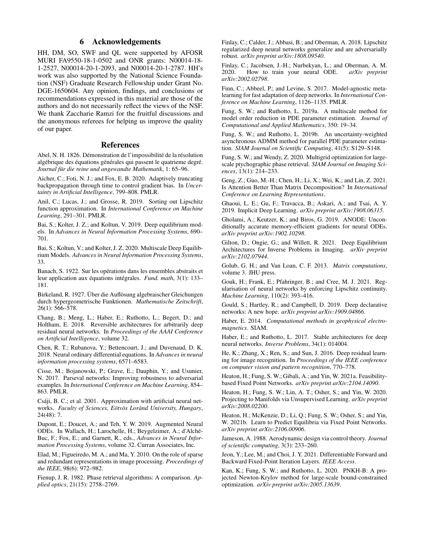## 6 Acknowledgements

HH, DM, SO, SWF and QL were supported by AFOSR MURI FA9550-18-1-0502 and ONR grants: N00014-18- 1-2527, N00014-20-1-2093, and N00014-20-1-2787. HH's work was also supported by the National Science Foundation (NSF) Graduate Research Fellowship under Grant No. DGE-1650604. Any opinion, findings, and conclusions or recommendations expressed in this material are those of the authors and do not necessarily reflect the views of the NSF. We thank Zaccharie Ramzi for the fruitful discussions and the anonymous referees for helping us improve the quality of our paper.

## References

<span id="page-7-34"></span>Abel, N. H. 1826. Démonstration de l'impossibilité de la résolution algébrique des équations générales qui passent le quatrieme degré. *Journal für die reine und angewandte Mathematik*, 1: 65–96.

<span id="page-7-22"></span>Aicher, C.; Foti, N. J.; and Fox, E. B. 2020. Adaptively truncating backpropagation through time to control gradient bias. In *Uncertainty in Artificial Intelligence*, 799–808. PMLR.

<span id="page-7-16"></span>Anil, C.; Lucas, J.; and Grosse, R. 2019. Sorting out Lipschitz function approximation. In *International Conference on Machine Learning*, 291–301. PMLR.

<span id="page-7-0"></span>Bai, S.; Kolter, J. Z.; and Koltun, V. 2019. Deep equilibrium models. In *Advances in Neural Information Processing Systems*, 690– 701.

<span id="page-7-1"></span>Bai, S.; Koltun, V.; and Kolter, J. Z. 2020. Multiscale Deep Equilibrium Models. *Advances in Neural Information Processing Systems*, 33.

<span id="page-7-12"></span>Banach, S. 1922. Sur les opérations dans les ensembles abstraits et leur application aux équations intégrales. Fund. math, 3(1): 133– 181.

<span id="page-7-35"></span>Birkeland, R. 1927. Über die Auflösung algebraischer Gleichungen durch hypergeometrische Funktionen. *Mathematische Zeitschrift*, 26(1): 566–578.

<span id="page-7-18"></span>Chang, B.; Meng, L.; Haber, E.; Ruthotto, L.; Begert, D.; and Holtham, E. 2018. Reversible architectures for arbitrarily deep residual neural networks. In *Proceedings of the AAAI Conference on Artificial Intelligence*, volume 32.

<span id="page-7-2"></span>Chen, R. T.; Rubanova, Y.; Bettencourt, J.; and Duvenaud, D. K. 2018. Neural ordinary differential equations. In *Advances in neural information processing systems*, 6571–6583.

<span id="page-7-15"></span>Cisse, M.; Bojanowski, P.; Grave, E.; Dauphin, Y.; and Usunier, N. 2017. Parseval networks: Improving robustness to adversarial examples. In *International Conference on Machine Learning*, 854– 863. PMLR.

<span id="page-7-11"></span>Csáji, B. C.; et al. 2001. Approximation with artificial neural networks. Faculty of Sciences, Eötvös Lorànd University, Hungary, 24(48): 7.

<span id="page-7-4"></span>Dupont, E.; Doucet, A.; and Teh, Y. W. 2019. Augmented Neural ODEs. In Wallach, H.; Larochelle, H.; Beygelzimer, A.; d'Alché-Buc, F.; Fox, E.; and Garnett, R., eds., *Advances in Neural Information Processing Systems*, volume 32. Curran Associates, Inc.

<span id="page-7-7"></span>Elad, M.; Figueiredo, M. A.; and Ma, Y. 2010. On the role of sparse and redundant representations in image processing. *Proceedings of the IEEE*, 98(6): 972–982.

<span id="page-7-26"></span>Fienup, J. R. 1982. Phase retrieval algorithms: A comparison. *Applied optics*, 21(15): 2758–2769.

<span id="page-7-14"></span>Finlay, C.; Calder, J.; Abbasi, B.; and Oberman, A. 2018. Lipschitz regularized deep neural networks generalize and are adversarially robust. *arXiv preprint arXiv:1808.09540*.

<span id="page-7-19"></span>Finlay, C.; Jacobsen, J.-H.; Nurbekyan, L.; and Oberman, A. M. 2020. How to train your neural ODE. *arXiv preprint arXiv:2002.02798*.

<span id="page-7-23"></span>Finn, C.; Abbeel, P.; and Levine, S. 2017. Model-agnostic metalearning for fast adaptation of deep networks. In *International Conference on Machine Learning*, 1126–1135. PMLR.

<span id="page-7-31"></span>Fung, S. W.; and Ruthotto, L. 2019a. A multiscale method for model order reduction in PDE parameter estimation. *Journal of Computational and Applied Mathematics*, 350: 19–34.

<span id="page-7-32"></span>Fung, S. W.; and Ruthotto, L. 2019b. An uncertainty-weighted asynchronous ADMM method for parallel PDE parameter estimation. *SIAM Journal on Scientific Computing*, 41(5): S129–S148.

<span id="page-7-28"></span>Fung, S. W.; and Wendy, Z. 2020. Multigrid optimization for largescale ptychographic phase retrieval. *SIAM Journal on Imaging Sciences*, 13(1): 214–233.

<span id="page-7-24"></span>Geng, Z.; Guo, M.-H.; Chen, H.; Li, X.; Wei, K.; and Lin, Z. 2021. Is Attention Better Than Matrix Decomposition? In *International Conference on Learning Representations*.

<span id="page-7-3"></span>Ghaoui, L. E.; Gu, F.; Travacca, B.; Askari, A.; and Tsai, A. Y. 2019. Implicit Deep Learning. *arXiv preprint arXiv:1908.06315*.

<span id="page-7-21"></span>Gholami, A.; Keutzer, K.; and Biros, G. 2019. ANODE: Unconditionally accurate memory-efficient gradients for neural ODEs. *arXiv preprint arXiv:1902.10298*.

<span id="page-7-10"></span>Gilton, D.; Ongie, G.; and Willett, R. 2021. Deep Equilibrium Architectures for Inverse Problems in Imaging. *arXiv preprint arXiv:2102.07944*.

<span id="page-7-33"></span>Golub, G. H.; and Van Loan, C. F. 2013. *Matrix computations*, volume 3. JHU press.

<span id="page-7-13"></span>Gouk, H.; Frank, E.; Pfahringer, B.; and Cree, M. J. 2021. Regularisation of neural networks by enforcing Lipschitz continuity. *Machine Learning*, 110(2): 393–416.

<span id="page-7-6"></span>Gould, S.; Hartley, R.; and Campbell, D. 2019. Deep declarative networks: A new hope. *arXiv preprint arXiv:1909.04866*.

<span id="page-7-30"></span>Haber, E. 2014. *Computational methods in geophysical electromagnetics*. SIAM.

<span id="page-7-17"></span>Haber, E.; and Ruthotto, L. 2017. Stable architectures for deep neural networks. *Inverse Problems*, 34(1): 014004.

<span id="page-7-25"></span>He, K.; Zhang, X.; Ren, S.; and Sun, J. 2016. Deep residual learning for image recognition. In *Proceedings of the IEEE conference on computer vision and pattern recognition*, 770–778.

<span id="page-7-8"></span>Heaton, H.; Fung, S. W.; Gibali, A.; and Yin, W. 2021a. Feasibilitybased Fixed Point Networks. *arXiv preprint arXiv:2104.14090*.

<span id="page-7-27"></span>Heaton, H.; Fung, S. W.; Lin, A. T.; Osher, S.; and Yin, W. 2020. Projecting to Manifolds via Unsupervised Learning. *arXiv preprint arXiv:2008.02200*.

<span id="page-7-9"></span>Heaton, H.; McKenzie, D.; Li, Q.; Fung, S. W.; Osher, S.; and Yin, W. 2021b. Learn to Predict Equilibria via Fixed Point Networks. *arXiv preprint arXiv:2106.00906*.

<span id="page-7-20"></span>Jameson, A. 1988. Aerodynamic design via control theory. *Journal of scientific computing*, 3(3): 233–260.

<span id="page-7-5"></span>Jeon, Y.; Lee, M.; and Choi, J. Y. 2021. Differentiable Forward and Backward Fixed-Point Iteration Layers. *IEEE Access*.

<span id="page-7-29"></span>Kan, K.; Fung, S. W.; and Ruthotto, L. 2020. PNKH-B: A projected Newton-Krylov method for large-scale bound-constrained optimization. *arXiv preprint arXiv:2005.13639*.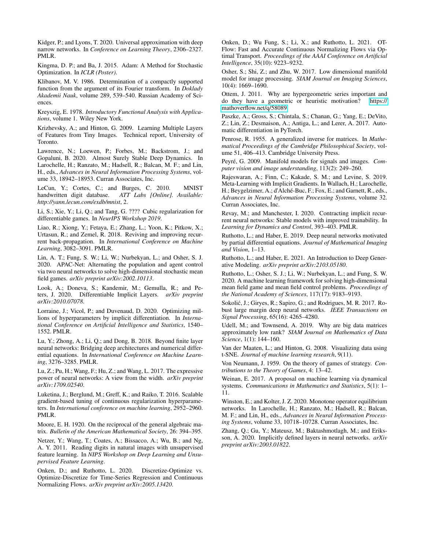<span id="page-8-10"></span>Kidger, P.; and Lyons, T. 2020. Universal approximation with deep narrow networks. In *Conference on Learning Theory*, 2306–2327. PMLR.

<span id="page-8-34"></span>Kingma, D. P.; and Ba, J. 2015. Adam: A Method for Stochastic Optimization. In *ICLR (Poster)*.

<span id="page-8-28"></span>Klibanov, M. V. 1986. Determination of a compactly supported function from the argument of its Fourier transform. In *Doklady Akademii Nauk*, volume 289, 539–540. Russian Academy of Sciences.

<span id="page-8-33"></span>Kreyszig, E. 1978. *Introductory Functional Analysis with Applications*, volume 1. Wiley New York.

<span id="page-8-27"></span>Krizhevsky, A.; and Hinton, G. 2009. Learning Multiple Layers of Features from Tiny Images. Technical report, University of Toronto.

<span id="page-8-2"></span>Lawrence, N.; Loewen, P.; Forbes, M.; Backstrom, J.; and Gopaluni, B. 2020. Almost Surely Stable Deep Dynamics. In Larochelle, H.; Ranzato, M.; Hadsell, R.; Balcan, M. F.; and Lin, H., eds., *Advances in Neural Information Processing Systems*, volume 33, 18942–18953. Curran Associates, Inc.

<span id="page-8-26"></span>LeCun, Y.; Cortes, C.; and Burges, C. 2010. MNIST handwritten digit database. *ATT Labs [Online]. Available: http://yann.lecun.com/exdb/mnist*, 2.

<span id="page-8-31"></span>Li, S.; Xie, Y.; Li, Q.; and Tang, G. ???? Cubic regularization for differentiable games. In *NeurIPS Workshop 2019*.

<span id="page-8-21"></span>Liao, R.; Xiong, Y.; Fetaya, E.; Zhang, L.; Yoon, K.; Pitkow, X.; Urtasun, R.; and Zemel, R. 2018. Reviving and improving recurrent back-propagation. In *International Conference on Machine Learning*, 3082–3091. PMLR.

<span id="page-8-30"></span>Lin, A. T.; Fung, S. W.; Li, W.; Nurbekyan, L.; and Osher, S. J. 2020. APAC-Net: Alternating the population and agent control via two neural networks to solve high-dimensional stochastic mean field games. *arXiv preprint arXiv:2002.10113*.

<span id="page-8-4"></span>Look, A.; Doneva, S.; Kandemir, M.; Gemulla, R.; and Peters, J. 2020. Differentiable Implicit Layers. *arXiv preprint arXiv:2010.07078*.

<span id="page-8-23"></span>Lorraine, J.; Vicol, P.; and Duvenaud, D. 2020. Optimizing millions of hyperparameters by implicit differentiation. In *International Conference on Artificial Intelligence and Statistics*, 1540– 1552. PMLR.

<span id="page-8-15"></span>Lu, Y.; Zhong, A.; Li, Q.; and Dong, B. 2018. Beyond finite layer neural networks: Bridging deep architectures and numerical differential equations. In *International Conference on Machine Learning*, 3276–3285. PMLR.

<span id="page-8-9"></span>Lu, Z.; Pu, H.; Wang, F.; Hu, Z.; and Wang, L. 2017. The expressive power of neural networks: A view from the width. *arXiv preprint arXiv:1709.02540*.

<span id="page-8-22"></span>Luketina, J.; Berglund, M.; Greff, K.; and Raiko, T. 2016. Scalable gradient-based tuning of continuous regularization hyperparameters. In *International conference on machine learning*, 2952–2960. PMLR.

<span id="page-8-18"></span>Moore, E. H. 1920. On the reciprocal of the general algebraic matrix. *Bulletin of the American Mathematical Society*, 26: 394–395.

<span id="page-8-25"></span>Netzer, Y.; Wang, T.; Coates, A.; Bissacco, A.; Wu, B.; and Ng, A. Y. 2011. Reading digits in natural images with unsupervised feature learning. In *NIPS Workshop on Deep Learning and Unsupervised Feature Learning*.

<span id="page-8-16"></span>Onken, D.; and Ruthotto, L. 2020. Discretize-Optimize vs. Optimize-Discretize for Time-Series Regression and Continuous Normalizing Flows. *arXiv preprint arXiv:2005.13420*.

<span id="page-8-17"></span>Onken, D.; Wu Fung, S.; Li, X.; and Ruthotto, L. 2021. OT-Flow: Fast and Accurate Continuous Normalizing Flows via Optimal Transport. *Proceedings of the AAAI Conference on Artificial Intelligence*, 35(10): 9223–9232.

<span id="page-8-6"></span>Osher, S.; Shi, Z.; and Zhu, W. 2017. Low dimensional manifold model for image processing. *SIAM Journal on Imaging Sciences*, 10(4): 1669–1690.

<span id="page-8-35"></span>Ottem, J. 2011. Why are hypergeometric series important and do they have a geometric or heuristic motivation? [https://](https://mathoverflow.net/q/58089) [mathoverflow.net/q/58089.](https://mathoverflow.net/q/58089)

<span id="page-8-20"></span>Paszke, A.; Gross, S.; Chintala, S.; Chanan, G.; Yang, E.; DeVito, Z.; Lin, Z.; Desmaison, A.; Antiga, L.; and Lerer, A. 2017. Automatic differentiation in PyTorch.

<span id="page-8-19"></span>Penrose, R. 1955. A generalized inverse for matrices. In *Mathematical Proceedings of the Cambridge Philosophical Society*, volume 51, 406–413. Cambridge University Press.

<span id="page-8-7"></span>Pevré. G. 2009. Manifold models for signals and images. *Computer vision and image understanding*, 113(2): 249–260.

<span id="page-8-24"></span>Rajeswaran, A.; Finn, C.; Kakade, S. M.; and Levine, S. 2019. Meta-Learning with Implicit Gradients. In Wallach, H.; Larochelle, H.; Beygelzimer, A.; d'Alché-Buc, F.; Fox, E.; and Garnett, R., eds., *Advances in Neural Information Processing Systems*, volume 32. Curran Associates, Inc.

<span id="page-8-3"></span>Revay, M.; and Manchester, I. 2020. Contracting implicit recurrent neural networks: Stable models with improved trainability. In *Learning for Dynamics and Control*, 393–403. PMLR.

<span id="page-8-14"></span>Ruthotto, L.; and Haber, E. 2019. Deep neural networks motivated by partial differential equations. *Journal of Mathematical Imaging and Vision*, 1–13.

<span id="page-8-12"></span>Ruthotto, L.; and Haber, E. 2021. An Introduction to Deep Generative Modeling. *arXiv preprint arXiv:2103.05180*.

<span id="page-8-32"></span>Ruthotto, L.; Osher, S. J.; Li, W.; Nurbekyan, L.; and Fung, S. W. 2020. A machine learning framework for solving high-dimensional mean field game and mean field control problems. *Proceedings of the National Academy of Sciences*, 117(17): 9183–9193.

<span id="page-8-11"></span>Sokolić, J.; Giryes, R.; Sapiro, G.; and Rodrigues, M. R. 2017. Robust large margin deep neural networks. *IEEE Transactions on Signal Processing*, 65(16): 4265–4280.

<span id="page-8-8"></span>Udell, M.; and Townsend, A. 2019. Why are big data matrices approximately low rank? *SIAM Journal on Mathematics of Data Science*, 1(1): 144–160.

<span id="page-8-5"></span>Van der Maaten, L.; and Hinton, G. 2008. Visualizing data using t-SNE. *Journal of machine learning research*, 9(11).

<span id="page-8-29"></span>Von Neumann, J. 1959. On the theory of games of strategy. *Contributions to the Theory of Games*, 4: 13–42.

<span id="page-8-13"></span>Weinan, E. 2017. A proposal on machine learning via dynamical systems. *Communications in Mathematics and Statistics*, 5(1): 1– 11.

<span id="page-8-0"></span>Winston, E.; and Kolter, J. Z. 2020. Monotone operator equilibrium networks. In Larochelle, H.; Ranzato, M.; Hadsell, R.; Balcan, M. F.; and Lin, H., eds., *Advances in Neural Information Processing Systems*, volume 33, 10718–10728. Curran Associates, Inc.

<span id="page-8-1"></span>Zhang, Q.; Gu, Y.; Mateusz, M.; Baktashmotlagh, M.; and Eriksson, A. 2020. Implicitly defined layers in neural networks. *arXiv preprint arXiv:2003.01822*.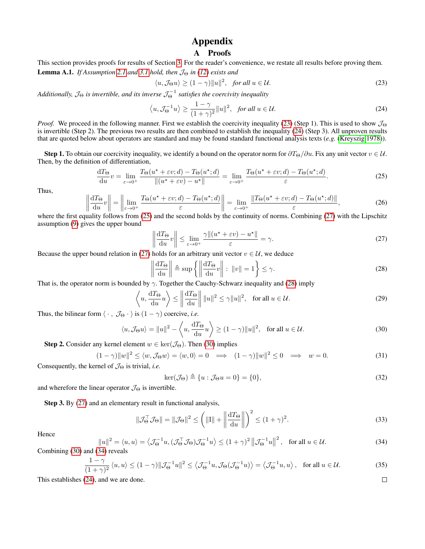# Appendix

# A Proofs

<span id="page-9-0"></span>This section provides proofs for results of Section [3.](#page-2-0) For the reader's convenience, we restate all results before proving them. **Lemma A.1.** *If Assumption* [2.1](#page-2-1) *and* [3.1](#page-2-6) *hold, then*  $\mathcal{J}_{\Theta}$  *in* [\(12\)](#page-3-5) *exists and* 

<span id="page-9-1"></span>
$$
\langle u, \mathcal{J}_{\Theta} u \rangle \ge (1 - \gamma) \|u\|^2, \quad \text{for all } u \in \mathcal{U}.
$$

Additionally,  $\mathcal{J}_\Theta$  is invertible, and its inverse  $\mathcal{J}_\Theta^{-1}$  satisfies the coercivity inequality

<span id="page-9-2"></span>
$$
\langle u, \mathcal{J}_{\Theta}^{-1} u \rangle \ge \frac{1 - \gamma}{(1 + \gamma)^2} ||u||^2, \text{ for all } u \in \mathcal{U}.
$$
 (24)

*Proof.* We proceed in the following manner. First we establish the coercivity inequality [\(23\)](#page-9-1) (Step 1). This is used to show  $\mathcal{J}_{\Theta}$ is invertible (Step 2). The previous two results are then combined to establish the inequality [\(24\)](#page-9-2) (Step 3). All unproven results that are quoted below about operators are standard and may be found standard functional analysis texts (*e.g.* [\(Kreyszig 1978\)](#page-8-33)).

Step 1. To obtain our coercivity inequality, we identify a bound on the operator norm for  $\partial T_{\Theta}/\partial u$ . Fix any unit vector  $v \in \mathcal{U}$ . Then, by the definition of differentiation,

<span id="page-9-3"></span>
$$
\frac{dT_{\Theta}}{du}v = \lim_{\varepsilon \to 0^+} \frac{T_{\Theta}(u^* + \varepsilon v; d) - T_{\Theta}(u^*; d)}{\|(u^* + \varepsilon v) - u^*\|} = \lim_{\varepsilon \to 0^+} \frac{T_{\Theta}(u^* + \varepsilon v; d) - T_{\Theta}(u^*; d)}{\varepsilon}.
$$
\n(25)

Thus,

$$
\left\| \frac{\mathrm{d}T_{\Theta}}{\mathrm{d}u}v \right\| = \left\| \lim_{\varepsilon \to 0^+} \frac{T_{\Theta}(u^{\star} + \varepsilon v; d) - T_{\Theta}(u^{\star}; d)}{\varepsilon} \right\| = \lim_{\varepsilon \to 0^+} \frac{\left\| T_{\Theta}(u^{\star} + \varepsilon v; d) - T_{\Theta}(u^{\star}; d) \right\|}{\varepsilon},\tag{26}
$$

where the first equality follows from [\(25\)](#page-9-3) and the second holds by the continuity of norms. Combining [\(27\)](#page-9-4) with the Lipschitz assumption [\(9\)](#page-2-5) gives the upper bound

<span id="page-9-4"></span>
$$
\left\| \frac{\mathrm{d}T_{\Theta}}{\mathrm{d}u}v \right\| \le \lim_{\varepsilon \to 0^+} \frac{\gamma \| (u^\star + \varepsilon v) - u^\star \|}{\varepsilon} = \gamma. \tag{27}
$$

Because the upper bound relation in [\(27\)](#page-9-4) holds for an arbitrary unit vector  $v \in U$ , we deduce

<span id="page-9-5"></span>
$$
\left\| \frac{\mathrm{d}T_{\Theta}}{\mathrm{d}u} \right\| \triangleq \sup \left\{ \left\| \frac{\mathrm{d}T_{\Theta}}{\mathrm{d}u}v \right\| : \left\| v \right\| = 1 \right\} \leq \gamma. \tag{28}
$$

That is, the operator norm is bounded by  $\gamma$ . Together the Cauchy-Schwarz inequality and [\(28\)](#page-9-5) imply

$$
\left\langle u, \frac{\mathrm{d}T_{\Theta}}{\mathrm{d}u}u \right\rangle \le \left\| \frac{\mathrm{d}T_{\Theta}}{\mathrm{d}u} \right\| \|u\|^2 \le \gamma \|u\|^2, \text{ for all } u \in \mathcal{U}.
$$
 (29)

Thus, the bilinear form  $\langle \cdot, \mathcal{J}_{\Theta} \cdot \rangle$  is  $(1 - \gamma)$  coercive, *i.e.* 

<span id="page-9-6"></span>
$$
\langle u, \mathcal{J}_{\Theta} u \rangle = \|u\|^2 - \langle u, \frac{\mathrm{d}T_{\Theta}}{\mathrm{d}u} u \rangle \ge (1 - \gamma) \|u\|^2, \text{ for all } u \in \mathcal{U}.
$$
 (30)

**Step 2.** Consider any kernel element  $w \in \text{ker}(\mathcal{J}_{\Theta})$ . Then [\(30\)](#page-9-6) implies

$$
(1 - \gamma) \|w\|^2 \le \langle w, \mathcal{J}_\Theta w \rangle = \langle w, 0 \rangle = 0 \implies (1 - \gamma) \|w\|^2 \le 0 \implies w = 0.
$$
 (31)

Consequently, the kernel of  $\mathcal{J}_{\Theta}$  is trivial, *i.e.* 

$$
\ker(\mathcal{J}_{\Theta}) \triangleq \{u : \mathcal{J}_{\Theta}u = 0\} = \{0\},\tag{32}
$$

and wherefore the linear operator  $\mathcal{J}_{\Theta}$  is invertible.

Step 3. By [\(27\)](#page-9-4) and an elementary result in functional analysis,

$$
\|\mathcal{J}_{\Theta}^{\top}\mathcal{J}_{\Theta}\| = \|\mathcal{J}_{\Theta}\|^2 \le \left(\|\mathbf{I}\| + \left\|\frac{\mathrm{d}T_{\Theta}}{\mathrm{d}u}\right\|\right)^2 \le (1+\gamma)^2. \tag{33}
$$

Hence

<span id="page-9-7"></span>
$$
||u||^2 = \langle u, u \rangle = \langle \mathcal{J}_{\Theta}^{-1}u, (\mathcal{J}_{\Theta}^{\top} \mathcal{J}_{\Theta}) \mathcal{J}_{\Theta}^{-1} u \rangle \le (1 + \gamma)^2 ||\mathcal{J}_{\Theta}^{-1}u||^2, \text{ for all } u \in \mathcal{U}.
$$
 (34)

Combining [\(30\)](#page-9-6) and [\(34\)](#page-9-7) reveals

$$
\frac{1-\gamma}{(1+\gamma)^2} \langle u, u \rangle \le (1-\gamma) \|\mathcal{J}_{\Theta}^{-1}u\|^2 \le \left\langle \mathcal{J}_{\Theta}^{-1}u, \mathcal{J}_{\Theta}(\mathcal{J}_{\Theta}^{-1}u) \right\rangle = \left\langle \mathcal{J}_{\Theta}^{-1}u, u \right\rangle, \text{ for all } u \in \mathcal{U}.
$$
 (35)

This establishes [\(24\)](#page-9-2), and we are done.

 $\Box$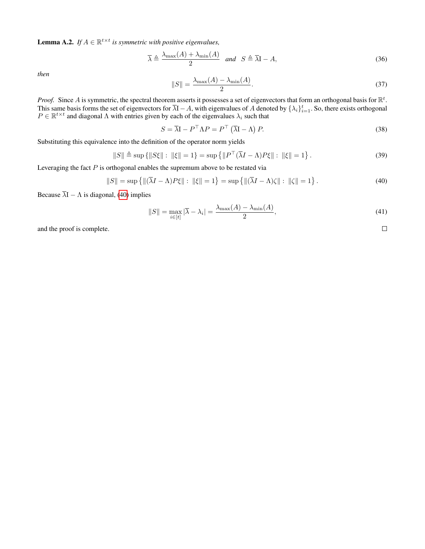<span id="page-10-1"></span>**Lemma A.2.** *If*  $A \in \mathbb{R}^{t \times t}$  *is symmetric with positive eigenvalues,* 

$$
\overline{\lambda} \triangleq \frac{\lambda_{\max}(A) + \lambda_{\min}(A)}{2} \quad \text{and} \quad S \triangleq \overline{\lambda}I - A,\tag{36}
$$

*then*

$$
||S|| = \frac{\lambda_{\max}(A) - \lambda_{\min}(A)}{2}.
$$
\n(37)

*Proof.* Since A is symmetric, the spectral theorem asserts it possesses a set of eigenvectors that form an orthogonal basis for  $\mathbb{R}^t$ . This same basis forms the set of eigenvectors for  $\overline{\lambda}I - A$ , with eigenvalues of A denoted by  $\{\lambda_i\}_{i=1}^t$ . So, there exists orthogonal  $P \in \mathbb{R}^{t \times t}$  and diagonal  $\Lambda$  with entries given by each of the eigenvalues  $\lambda_i$  such that

$$
S = \overline{\lambda} \mathbf{I} - P^{\top} \Lambda P = P^{\top} (\overline{\lambda} \mathbf{I} - \Lambda) P.
$$
 (38)

Substituting this equivalence into the definition of the operator norm yields

$$
||S|| \triangleq \sup \{ ||S\xi|| : ||\xi|| = 1 \} = \sup \{ ||P^{\top}(\overline{\lambda}I - \Lambda)P\xi|| : ||\xi|| = 1 \}.
$$
 (39)

Leveraging the fact  $P$  is orthogonal enables the supremum above to be restated via

<span id="page-10-0"></span>
$$
||S|| = \sup \{ ||(\overline{\lambda}I - \Lambda)P\xi|| : ||\xi|| = 1 \} = \sup \{ ||(\overline{\lambda}I - \Lambda)\zeta|| : ||\zeta|| = 1 \}.
$$
 (40)

Because  $\overline{\lambda}I - \Lambda$  is diagonal, [\(40\)](#page-10-0) implies

$$
||S|| = \max_{i \in [t]} |\overline{\lambda} - \lambda_i| = \frac{\lambda_{\max}(A) - \lambda_{\min}(A)}{2},
$$
\n(41)

and the proof is complete.

 $\Box$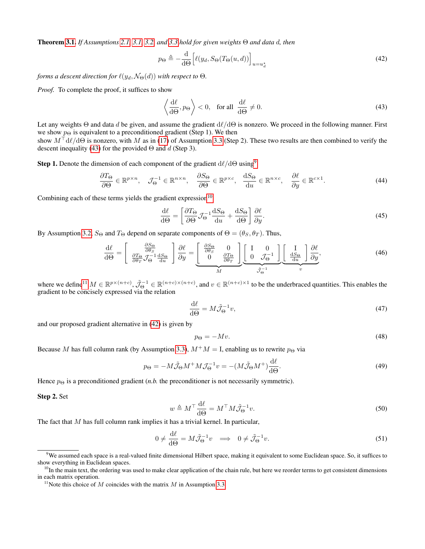Theorem [3.1.](#page-4-0) *If Assumptions [2.1,](#page-2-1) [3.1,](#page-2-6) [3.2,](#page-2-4) and [3.3](#page-3-4) hold for given weights* Θ *and data* d*, then*

<span id="page-11-4"></span>
$$
p_{\Theta} \triangleq -\frac{\mathrm{d}}{\mathrm{d}\Theta} \Big[ \ell(y_d, S_{\Theta}(T_{\Theta}(u, d)) \Big]_{u=u_d^\star} \tag{42}
$$

*forms a descent direction for*  $\ell(y_d, \mathcal{N}_{\Theta}(d))$  *with respect to*  $\Theta$ *.* 

*Proof.* To complete the proof, it suffices to show

<span id="page-11-0"></span>
$$
\left\langle \frac{\mathrm{d}\ell}{\mathrm{d}\Theta}, p_{\Theta} \right\rangle < 0, \quad \text{for all} \quad \frac{\mathrm{d}\ell}{\mathrm{d}\Theta} \neq 0. \tag{43}
$$

Let any weights  $\Theta$  and data d be given, and assume the gradient  $d\ell/d\Theta$  is nonzero. We proceed in the following manner. First we show  $p_{\Theta}$  is equivalent to a preconditioned gradient (Step 1). We then show  $M^{\top}d\ell/d\Theta$  is nonzero, with M as in [\(17\)](#page-3-6) of Assumption [3.3](#page-3-4) (Step 2). These two results are then combined to verify the

**Step 1.** Denote the dimension of each component of the gradient  $d\ell/d\Theta$  using<sup>[9](#page-11-1)</sup>

$$
\frac{\partial T_{\Theta}}{\partial \Theta} \in \mathbb{R}^{p \times n}, \quad \mathcal{J}_{\Theta}^{-1} \in \mathbb{R}^{n \times n}, \quad \frac{\partial S_{\Theta}}{\partial \Theta} \in \mathbb{R}^{p \times c}, \quad \frac{\mathrm{d}S_{\Theta}}{\mathrm{d}u} \in \mathbb{R}^{n \times c}, \quad \frac{\partial \ell}{\partial y} \in \mathbb{R}^{c \times 1}.\tag{44}
$$

Combining each of these terms yields the gradient expression $10$ 

descent inequality [\(43\)](#page-11-0) for the provided  $\Theta$  and d (Step 3).

$$
\frac{d\ell}{d\Theta} = \left[ \frac{\partial T_{\Theta}}{\partial \Theta} \mathcal{J}_{\Theta}^{-1} \frac{dS_{\Theta}}{du} + \frac{dS_{\Theta}}{d\Theta} \right] \frac{\partial \ell}{\partial y}.
$$
\n(45)

By Assumption [3.2,](#page-2-4)  $S_{\Theta}$  and  $T_{\Theta}$  depend on separate components of  $\Theta = (\theta_S, \theta_T)$ . Thus,

$$
\frac{\mathrm{d}\ell}{\mathrm{d}\Theta} = \left[ \begin{array}{c} \frac{\partial S_{\Theta}}{\partial \theta_{S}} \\ \frac{\partial T_{\Theta}}{\partial \theta_{T}} \mathcal{J}_{\Theta}^{-1} \frac{\mathrm{d}S_{\Theta}}{\mathrm{d}u} \end{array} \right] \frac{\partial \ell}{\partial y} = \underbrace{\left[ \begin{array}{c} \frac{\partial S_{\Theta}}{\partial \theta_{S}} & 0 \\ 0 & \frac{\partial T_{\Theta}}{\partial \theta_{T}} \end{array} \right]}_{M} \underbrace{\left[ \begin{array}{c} I & 0 \\ 0 & \mathcal{J}_{\Theta}^{-1} \end{array} \right]}_{\tilde{J}_{\Theta}^{-1}} \underbrace{\left[ \begin{array}{c} I \\ \frac{\mathrm{d}S_{\Theta}}{\mathrm{d}u} \end{array} \right]}_{v} \frac{\partial \ell}{\partial y},\tag{46}
$$

where we define<sup>[11](#page-11-3)</sup>  $M \in \mathbb{R}^{p \times (n+c)}$ ,  $\tilde{\mathcal{J}}_{\Theta}^{-1} \in \mathbb{R}^{(n+c) \times (n+c)}$ , and  $v \in \mathbb{R}^{(n+c) \times 1}$  to be the underbraced quantities. This enables the gradient to be concisely expressed via the relation

$$
\frac{\mathrm{d}\ell}{\mathrm{d}\Theta} = M\tilde{\mathcal{J}}_{\Theta}^{-1}v,\tag{47}
$$

and our proposed gradient alternative in [\(42\)](#page-11-4) is given by

$$
p_{\Theta} = -Mv.\tag{48}
$$

Because M has full column rank (by Assumption [3.3\)](#page-3-4),  $M^+M = I$ , enabling us to rewrite  $p_{\Theta}$  via

<span id="page-11-6"></span>
$$
p_{\Theta} = -M\tilde{\mathcal{J}}_{\Theta}M^{+}M\mathcal{J}_{\Theta}^{-1}v = -(M\tilde{\mathcal{J}}_{\Theta}M^{+})\frac{\mathrm{d}\ell}{\mathrm{d}\Theta}.
$$
\n(49)

Hence  $p_{\Theta}$  is a preconditioned gradient (*n.b.* the preconditioner is not necessarily symmetric).

#### Step 2. Set

$$
w \triangleq M^{\top} \frac{\mathrm{d}\ell}{\mathrm{d}\Theta} = M^{\top} M \tilde{\mathcal{J}}_{\Theta}^{-1} v. \tag{50}
$$

The fact that  $M$  has full column rank implies it has a trivial kernel. In particular,

<span id="page-11-5"></span>
$$
0 \neq \frac{\mathrm{d}\ell}{\mathrm{d}\Theta} = M\tilde{\mathcal{J}}_{\Theta}^{-1}v \implies 0 \neq \tilde{\mathcal{J}}_{\Theta}^{-1}v. \tag{51}
$$

<span id="page-11-1"></span> $9$ We assumed each space is a real-valued finite dimensional Hilbert space, making it equivalent to some Euclidean space. So, it suffices to show everything in Euclidean spaces.

<span id="page-11-2"></span> $10$ In the main text, the ordering was used to make clear application of the chain rule, but here we reorder terms to get consistent dimensions in each matrix operation.

<span id="page-11-3"></span><sup>&</sup>lt;sup>11</sup>Note this choice of M coincides with the matrix M in Assumption [3.3.](#page-3-4)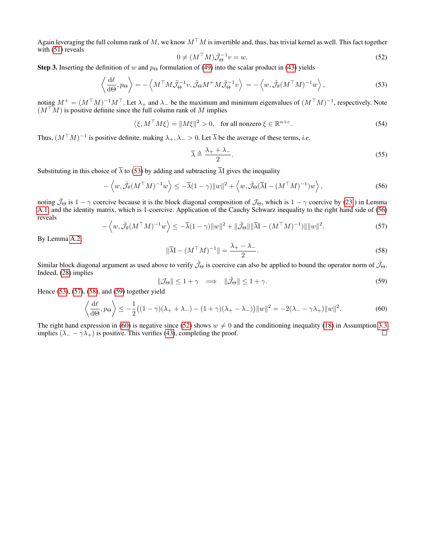Again leveraging the full column rank of M, we know  $M^{\top}M$  is invertible and, thus, has trivial kernel as well. This fact together with [\(51\)](#page-11-5) reveals

<span id="page-12-6"></span>
$$
0 \neq (M^{\top}M)\tilde{\mathcal{J}}_{\Theta}^{-1}v = w.
$$
\n<sup>(52)</sup>

**Step 3.** Inserting the definition of w and  $p_{\Theta}$  formulation of [\(49\)](#page-11-6) into the scalar product in [\(43\)](#page-11-0) yields

<span id="page-12-0"></span>
$$
\left\langle \frac{\mathrm{d}\ell}{\mathrm{d}\Theta}, p_{\Theta} \right\rangle = -\left\langle M^{\top} M \tilde{\mathcal{J}}_{\Theta}^{-1} v, \tilde{\mathcal{J}}_{\Theta} M^{+} M \tilde{\mathcal{J}}_{\Theta}^{-1} v \right\rangle = -\left\langle w, \tilde{\mathcal{J}}_{\theta} (M^{\top} M)^{-1} w \right\rangle, \tag{53}
$$

noting  $M^+ = (M^{\top}M)^{-1}M^{\top}$ . Let  $\lambda_+$  and  $\lambda_-$  be the maximum and minimum eigenvalues of  $(M^{\top}M)^{-1}$ , respectively. Note  $(M^+M)$  is positive definite since the full column rank of M implies

$$
\langle \xi, M^{\top} M \xi \rangle = \| M \xi \|^2 > 0, \text{ for all nonzero } \xi \in \mathbb{R}^{n+c}.
$$
 (54)

Thus,  $(M^{\top}M)^{-1}$  is positive definite, making  $\lambda_+, \lambda_- > 0$ . Let  $\overline{\lambda}$  be the average of these terms, *i.e.* 

$$
\overline{\lambda} \triangleq \frac{\lambda_+ + \lambda_-}{2}.\tag{55}
$$

Substituting in this choice of  $\bar{\lambda}$  to [\(53\)](#page-12-0) by adding and subtracting  $\bar{\lambda}$ I gives the inequality

<span id="page-12-1"></span>
$$
-\left\langle w, \tilde{\mathcal{J}}_{\theta}(M^{\top}M)^{-1}w \right\rangle \le -\overline{\lambda}(1-\gamma)\|w\|^2 + \left\langle w, \tilde{\mathcal{J}}_{\Theta}(\overline{\lambda}I - (M^{\top}M)^{-1})w \right\rangle, \tag{56}
$$

noting  $\tilde{\mathcal{J}}_{\Theta}$  is  $1 - \gamma$  coercive because it is the block diagonal composition of  $\mathcal{J}_{\Theta}$ , which is  $1 - \gamma$  coercive by [\(23](#page-9-1)) in Lemma [A.1,](#page-9-0) and the identity matrix, which is 1-coercive. Application of the Cauchy Schwarz inequality to the right hand side of [\(56\)](#page-12-1) reveals

<span id="page-12-2"></span>
$$
-\left\langle w, \tilde{\mathcal{J}}_{\theta}(M^{\top}M)^{-1}w \right\rangle \leq -\overline{\lambda}(1-\gamma)\|w\|^2 + \|\tilde{\mathcal{J}}_{\Theta}\|\|\overline{\lambda}(\mathbf{I} - (M^{\top}M)^{-1})\|\|w\|^2. \tag{57}
$$

By Lemma [A.2,](#page-10-1)

<span id="page-12-3"></span>
$$
\|\overline{\lambda}\mathbf{I} - (M^{\top}M)^{-1}\| = \frac{\lambda_+ - \lambda_-}{2}.\tag{58}
$$

Similar block diagonal argument as used above to verify  $\tilde{\mathcal{J}}_{\Theta}$  is coercive can also be applied to bound the operator norm of  $\tilde{\mathcal{J}}_{\Theta}$ . Indeed, [\(28\)](#page-9-5) implies

<span id="page-12-4"></span>
$$
\|\mathcal{J}_{\Theta}\| \le 1 + \gamma \quad \Longrightarrow \quad \|\tilde{\mathcal{J}}_{\Theta}\| \le 1 + \gamma. \tag{59}
$$

Hence [\(53\)](#page-12-0), [\(57\)](#page-12-2), [\(58\)](#page-12-3), and [\(59\)](#page-12-4) together yield

<span id="page-12-5"></span>
$$
\left\langle \frac{\mathrm{d}\ell}{\mathrm{d}\Theta}, p_{\Theta} \right\rangle \le -\frac{1}{2} \left( (1-\gamma)(\lambda_{+} + \lambda_{-}) - (1+\gamma)(\lambda_{+} - \lambda_{-}) \right) ||w||^{2} = -2(\lambda_{-} - \gamma \lambda_{+}) ||w||^{2}.
$$
 (60)

The right hand expression in [\(60\)](#page-12-5) is negative since [\(52\)](#page-12-6) shows  $w \neq 0$  and the conditioning inequality [\(18\)](#page-3-7) in Assumption [3.3](#page-3-4) implies  $(\lambda - \gamma \lambda)$  is positive. This verifies (43), completing the proof. implies ( $\lambda = -\gamma \lambda_+$ ) is positive. This verifies [\(43\)](#page-11-0), completing the proof.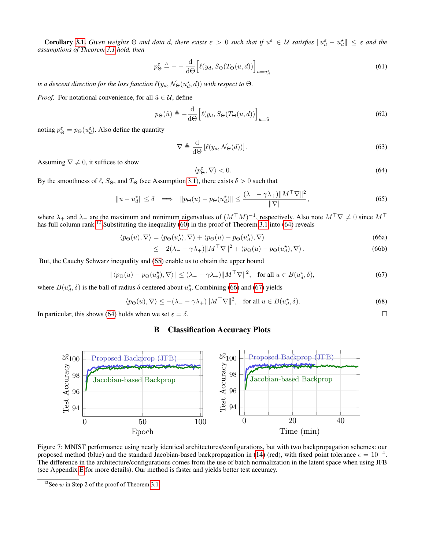**Corollary [3.1.](#page-4-7)** Given weights  $\Theta$  and data d, there exists  $\varepsilon > 0$  such that if  $u^{\varepsilon} \in U$  satisfies  $\|u^{\varepsilon}_d - u^{\star}_d\| \leq \varepsilon$  and the *assumptions of Theorem [3.1](#page-4-0) hold, then*

$$
p_{\Theta}^{\varepsilon} \triangleq - -\frac{\mathrm{d}}{\mathrm{d}\Theta} \Big[ \ell(y_d, S_{\Theta}(T_{\Theta}(u, d)) \Big]_{u = u_d^{\varepsilon}} \tag{61}
$$

is a descent direction for the loss function  $\ell(y_d, \mathcal{N}_\Theta(u_d^\star, d))$  with respect to  $\Theta$ .

*Proof.* For notational convenience, for all  $\tilde{u} \in \mathcal{U}$ , define

$$
p_{\Theta}(\tilde{u}) \triangleq -\frac{\mathrm{d}}{\mathrm{d}\Theta} \Big[ \ell(y_d, S_{\Theta}(T_{\Theta}(u, d)) \Big]_{u = \tilde{u}} \tag{62}
$$

noting  $p_{\Theta}^{\varepsilon} = p_{\Theta}(u_d^{\varepsilon})$ . Also define the quantity

$$
\nabla \triangleq \frac{\mathrm{d}}{\mathrm{d}\Theta} \left[ \ell(y_d, \mathcal{N}_{\Theta}(d)) \right]. \tag{63}
$$

Assuming  $\nabla \neq 0$ , it suffices to show

<span id="page-13-2"></span>
$$
\langle p^{\varepsilon}_{\Theta}, \nabla \rangle < 0. \tag{64}
$$

<span id="page-13-4"></span> $\Box$ 

By the smoothness of  $\ell$ ,  $S_{\Theta}$ , and  $T_{\Theta}$  (see Assumption [3.1\)](#page-2-6), there exists  $\delta > 0$  such that

<span id="page-13-3"></span>
$$
||u - u_d^{\star}|| \le \delta \implies ||p_{\Theta}(u) - p_{\Theta}(u_d^{\star})|| \le \frac{(\lambda - \gamma \lambda_+) ||M^{\top} \nabla||^2}{||\nabla||},
$$
\n(65)

where  $\lambda_+$  and  $\lambda_-$  are the maximum and minimum eigenvalues of  $(M^{\top}M)^{-1}$ , respectively. Also note  $M^{\top}\nabla \neq 0$  since  $M^{\top}$ has full column rank.<sup>[12](#page-13-1)</sup> Substituting the inequality  $(60)$  in the proof of Theorem [3.1](#page-4-0) into  $(64)$  reveals

$$
\langle p_{\Theta}(u), \nabla \rangle = \langle p_{\Theta}(u_d^{\star}), \nabla \rangle + \langle p_{\Theta}(u) - p_{\Theta}(u_d^{\star}), \nabla \rangle \tag{66a}
$$

$$
\leq -2(\lambda_- - \gamma \lambda_+) \|M^\top \nabla\|^2 + \langle p_\Theta(u) - p_\Theta(u_d^{\star}), \nabla \rangle. \tag{66b}
$$

But, the Cauchy Schwarz inequality and [\(65\)](#page-13-3) enable us to obtain the upper bound

<span id="page-13-5"></span>
$$
|\langle p_{\Theta}(u) - p_{\Theta}(u_d^{\star}), \nabla \rangle| \le (\lambda_- - \gamma \lambda_+) \|M^{\top} \nabla\|^2, \text{ for all } u \in B(u_d^{\star}, \delta), \tag{67}
$$

where  $B(u_d^*, \delta)$  is the ball of radius  $\delta$  centered about  $u_d^*$ . Combining [\(66\)](#page-13-4) and [\(67\)](#page-13-5) yields

$$
\langle p_{\Theta}(u), \nabla \rangle \le -(\lambda_- - \gamma \lambda_+) \| M^\top \nabla \|^2, \quad \text{for all } u \in B(u_d^*, \delta). \tag{68}
$$

<span id="page-13-0"></span>In particular, this shows [\(64\)](#page-13-2) holds when we set  $\varepsilon = \delta$ .

# B Classification Accuracy Plots



Figure 7: MNIST performance using nearly identical architectures/configurations, but with two backpropagation schemes: our proposed method (blue) and the standard Jacobian-based backpropagation in [\(14\)](#page-3-2) (red), with fixed point tolerance  $\epsilon = 10^{-4}$ . The difference in the architecture/configurations comes from the use of batch normalization in the latent space when using JFB (see Appendix [E](#page-17-1) for more details). Our method is faster and yields better test accuracy.

<span id="page-13-1"></span><sup>&</sup>lt;sup>12</sup>See  $w$  in Step 2 of the proof of Theorem [3.1.](#page-4-0)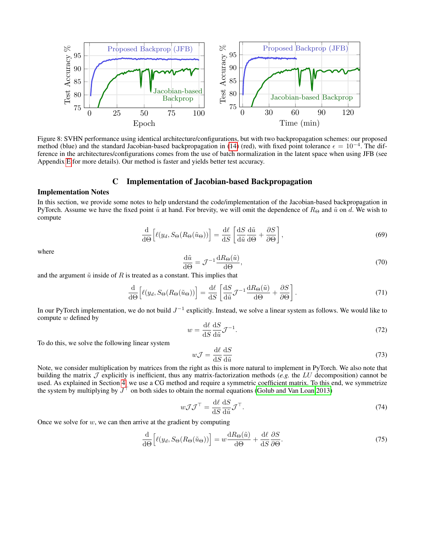

Figure 8: SVHN performance using identical architecture/configurations, but with two backpropagation schemes: our proposed method (blue) and the standard Jacobian-based backpropagation in [\(14\)](#page-3-2) (red), with fixed point tolerance  $\epsilon = 10^{-4}$ . The difference in the architectures/configurations comes from the use of batch normalization in the latent space when using JFB (see Appendix [E](#page-17-1) for more details). Our method is faster and yields better test accuracy.

### C Implementation of Jacobian-based Backpropagation

#### <span id="page-14-1"></span>Implementation Notes

In this section, we provide some notes to help understand the code/implementation of the Jacobian-based backpropagation in PyTorch. Assume we have the fixed point  $\tilde{u}$  at hand. For brevity, we will omit the dependence of  $R_{\Theta}$  and  $\tilde{u}$  on d. We wish to compute

$$
\frac{\mathrm{d}}{\mathrm{d}\Theta} \left[ \ell(y_d, S_{\Theta}(R_{\Theta}(\tilde{u}_{\Theta})) \right] = \frac{\mathrm{d}\ell}{\mathrm{d}S} \left[ \frac{\mathrm{d}S}{\mathrm{d}\tilde{u}} \frac{\mathrm{d}\tilde{u}}{\mathrm{d}\Theta} + \frac{\partial S}{\partial \Theta} \right],\tag{69}
$$

where

$$
\frac{\mathrm{d}\tilde{u}}{\mathrm{d}\Theta} = \mathcal{J}^{-1} \frac{\mathrm{d}R_{\Theta}(\tilde{u})}{\mathrm{d}\Theta},\tag{70}
$$

and the argument  $\tilde{u}$  inside of R is treated as a constant. This implies that

$$
\frac{\mathrm{d}}{\mathrm{d}\Theta} \left[ \ell(y_d, S_\Theta(R_\Theta(\tilde{u}_\Theta)) \right] = \frac{\mathrm{d}\ell}{\mathrm{d}S} \left[ \frac{\mathrm{d}S}{\mathrm{d}\tilde{u}} \mathcal{J}^{-1} \frac{\mathrm{d}R_\Theta(\tilde{u})}{\mathrm{d}\Theta} + \frac{\partial S}{\partial \Theta} \right]. \tag{71}
$$

In our PyTorch implementation, we do not build  $J^{-1}$  explicitly. Instead, we solve a linear system as follows. We would like to compute w defined by

$$
w = \frac{\mathrm{d}\ell}{\mathrm{d}S} \frac{\mathrm{d}S}{\mathrm{d}\tilde{u}} \mathcal{J}^{-1}.\tag{72}
$$

To do this, we solve the following linear system

$$
wJ = \frac{\mathrm{d}\ell}{\mathrm{d}S} \frac{\mathrm{d}S}{\mathrm{d}\tilde{u}}\tag{73}
$$

Note, we consider multiplication by matrices from the right as this is more natural to implement in PyTorch. We also note that building the matrix  $\mathcal J$  explicitly is inefficient, thus any matrix-factorization methods (*e.g.* the LU decomposition) cannot be used. As explained in Section [4,](#page-4-2) we use a CG method and require a symmetric coefficient matrix. To this end, we symmetrize the system by multiplying by  $J^{\perp}$  on both sides to obtain the normal equations [\(Golub and Van Loan 2013\)](#page-7-33)

<span id="page-14-0"></span>
$$
w\mathcal{J}\mathcal{J}^{\top} = \frac{\mathrm{d}\ell}{\mathrm{d}S} \frac{\mathrm{d}S}{\mathrm{d}\tilde{u}} \mathcal{J}^{\top}.
$$
 (74)

Once we solve for  $w$ , we can then arrive at the gradient by computing

$$
\frac{\mathrm{d}}{\mathrm{d}\Theta} \left[ \ell(y_d, S_\Theta(R_\Theta(\tilde{u}_\Theta)) \right] = w \frac{\mathrm{d}R_\Theta(\tilde{u})}{\mathrm{d}\Theta} + \frac{\mathrm{d}\ell}{\mathrm{d}S} \frac{\partial S}{\partial \Theta}.\tag{75}
$$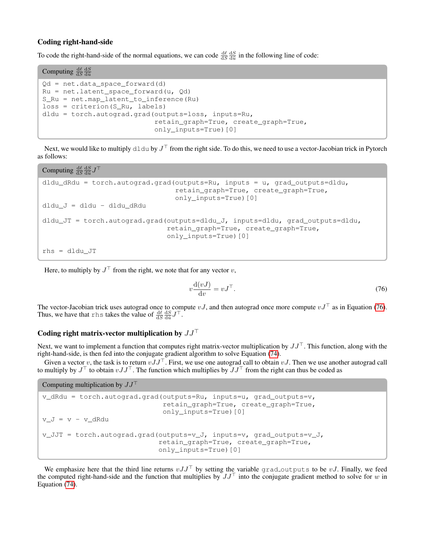## Coding right-hand-side

To code the right-hand-side of the normal equations, we can code  $\frac{d\ell}{dS} \frac{dS}{d\tilde{u}}$  in the following line of code:

```
Computing \frac{d\ell}{dS} \frac{dS}{d\tilde{u}}Qd = net.data_space_forward(d)
Ru = net. latent_space_forward(u, Qd)
S_Ru = net.map_latent_to_inference(Ru)
loss = criterion(S_Ru, labels)
dldu = torch.autograd.grad(outputs=loss, inputs=Ru,
                               retain_graph=True, create_graph=True,
                               only_inputs=True)[0]
```
Next, we would like to multiply  $d \, \text{ldu}$  by  $J^{\perp}$  from the right side. To do this, we need to use a vector-Jacobian trick in Pytorch as follows:

Computing  $\frac{d\ell}{dS} \frac{dS}{d\tilde{u}} J^{\top}$ 

```
dldu_dRdu = torch.autograd.grad(outputs=Ru, inputs = u, grad_outputs=dldu,
                                retain_graph=True, create_graph=True,
                                only_inputs=True)[0]
dldu_J = dldu - dldu_dRdu
dldu_JT = torch.autograd.grad(outputs=dldu_J, inputs=dldu, grad_outputs=dldu,
                              retain_graph=True, create_graph=True,
                              only_inputs=True)[0]
rhs = dldu_JT
```
Here, to multiply by  $J^{\perp}$  from the right, we note that for any vector v,

<span id="page-15-0"></span>
$$
v\frac{\mathrm{d}(vJ)}{\mathrm{d}v} = vJ^{\top}.\tag{76}
$$

The vector-Jacobian trick uses autograd once to compute vJ, and then autograd once more compute  $vJ^{\top}$  as in Equation [\(76\)](#page-15-0). Thus, we have that rhs takes the value of  $\frac{d\ell}{dS} \frac{dS}{d\tilde{u}} J^{\top}$ .

## Coding right matrix-vector multiplication by  $JJ^{\top}$

Next, we want to implement a function that computes right matrix-vector multiplication by  $JJ^{\top}$ . This function, along with the right-hand-side, is then fed into the conjugate gradient algorithm to solve Equation [\(74\)](#page-14-0).

Given a vector v, the task is to return  $vJJ^{\top}$ . First, we use one autograd call to obtain vJ. Then we use another autograd call to multiply by  $J^{\perp}$  to obtain  $vJJ^{\perp}$ . The function which multiplies by  $JJ^{\perp}$  from the right can thus be coded as

Computing multiplication by  $JJ^{\top}$ 

```
v_dRdu = torch.autograd.grad(outputs=Ru, inputs=u, grad_outputs=v,
                             retain_graph=True, create_graph=True,
                             only_inputs=True)[0]
v_U = v - v_dRduv_JJT = torch.autograd.grad(outputs=v_J, inputs=v, grad_outputs=v_J,
                            retain_graph=True, create_graph=True,
                            only_inputs=True)[0]
```
We emphasize here that the third line returns  $vJJ^{\top}$  by setting the variable grad-outputs to be vJ. Finally, we feed the computed right-hand-side and the function that multiplies by  $JJ^{\top}$  into the conjugate gradient method to solve for w in Equation [\(74\)](#page-14-0).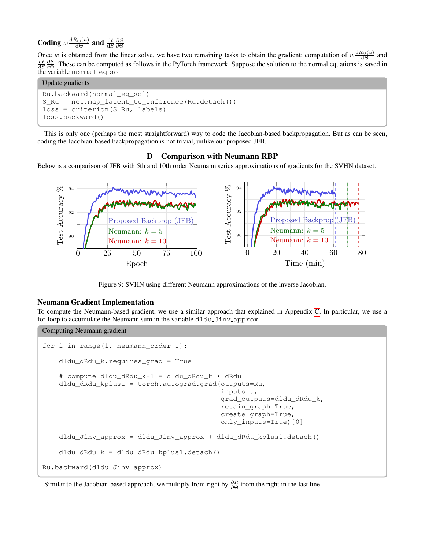Coding  $w \frac{dR_{\Theta}(\tilde{u})}{d\Theta}$  and  $\frac{d\ell}{dS}$ ∂S ∂Θ

Once w is obtained from the linear solve, we have two remaining tasks to obtain the gradient: computation of  $w \frac{dR_{\Theta}(\tilde{u})}{d\Theta}$  and  $\frac{d\ell}{dS}$   $\frac{\partial S}{\partial \Theta}$ . These can be computed as follows in the PyTorch framework. Suppose the solution to the normal equations is saved in the variable normaleqsol

## Update gradients

```
Ru.backward(normal_eq_sol)
S_Ru = net.map_latent_to_inference(Ru.detach())
loss = criterion(S_Ru, labels)
loss.backward()
```
This is only one (perhaps the most straightforward) way to code the Jacobian-based backpropagation. But as can be seen, coding the Jacobian-based backpropagation is not trivial, unlike our proposed JFB.

## D Comparison with Neumann RBP

<span id="page-16-0"></span>Below is a comparison of JFB with 5th and 10th order Neumann series approximations of gradients for the SVHN dataset.



Figure 9: SVHN using different Neumann approximations of the inverse Jacobian.

## Neumann Gradient Implementation

To compute the Neumann-based gradient, we use a similar approach that explained in Appendix [C.](#page-14-1) In particular, we use a for-loop to accumulate the Neumann sum in the variable dldu\_Jinv\_approx.

```
Computing Neumann gradient
for i in range(1, neumann order+1):
    dldu_dRdu_k.requires_grad = True
    # compute dldu_dRdu_k+1 = dldu_dRdu_k * dRdu
    dldu_dRdu_kplus1 = torch.autograd.grad(outputs=Ru,
                                             inputs=u,
                                             grad outputs=dldu dRdu k,
                                            retain_graph=True,
                                            create_graph=True,
                                            only_inputs=True)[0]
    dldu_Jinv_approx = dldu_Jinv_approx + dldu_dRdu_kplus1.detach()
    dldu_dRdu_k = dldu_dRdu_kplus1.detach()
Ru.backward(dldu_Jinv_approx)
```
Similar to the Jacobian-based approach, we multiply from right by  $\frac{\partial R}{\partial \Theta}$  from the right in the last line.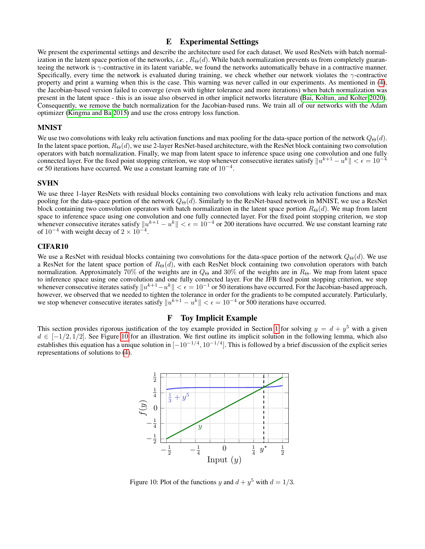## E Experimental Settings

<span id="page-17-1"></span>We present the experimental settings and describe the architecture used for each dataset. We used ResNets with batch normalization in the latent space portion of the networks, *i.e.*,  $R_{\Theta}(d)$ . While batch normalization prevents us from completely guaranteeing the network is γ-contractive in its latent variable, we found the networks automatically behave in a contractive manner. Specifically, every time the network is evaluated during training, we check whether our network violates the γ-contractive property and print a warning when this is the case. This warning was never called in our experiments. As mentioned in [\(4\)](#page-5-3), the Jacobian-based version failed to converge (even with tighter tolerance and more iterations) when batch normalization was present in the latent space - this is an issue also observed in other implicit networks literature [\(Bai, Koltun, and Kolter 2020\)](#page-7-1). Consequently, we remove the batch normalization for the Jacobian-based runs. We train all of our networks with the Adam optimizer [\(Kingma and Ba 2015\)](#page-8-34) and use the cross entropy loss function.

#### MNIST

We use two convolutions with leaky relu activation functions and max pooling for the data-space portion of the network  $Q_{\Theta}(d)$ . In the latent space portion,  $R_{\Theta}(d)$ , we use 2-layer ResNet-based architecture, with the ResNet block containing two convolution operators with batch normalization. Finally, we map from latent space to inference space using one convolution and one fully connected layer. For the fixed point stopping criterion, we stop whenever consecutive iterates satisfy  $\|u^{k+1} - u^k\| < \epsilon = 10^{-4}$ or 50 iterations have occurred. We use a constant learning rate of  $10^{-4}$ .

## SVHN

We use three 1-layer ResNets with residual blocks containing two convolutions with leaky relu activation functions and max pooling for the data-space portion of the network  $Q_{\Theta}(d)$ . Similarly to the ResNet-based network in MNIST, we use a ResNet block containing two convolution operators with batch normalization in the latent space portion  $R_{\Theta}(d)$ . We map from latent space to inference space using one convolution and one fully connected layer. For the fixed point stopping criterion, we stop whenever consecutive iterates satisfy  $||u^{k+1} - u^k|| < \epsilon = 10^{-4}$  or 200 iterations have occurred. We use constant learning rate of  $10^{-4}$  with weight decay of  $2 \times 10^{-4}$ .

## CIFAR10

We use a ResNet with residual blocks containing two convolutions for the data-space portion of the network  $Q_{\Theta}(d)$ . We use a ResNet for the latent space portion of  $R_{\Theta}(d)$ , with each ResNet block containing two convolution operators with batch normalization. Approximately 70% of the weights are in  $Q_{\Theta}$  and 30% of the weights are in  $R_{\Theta}$ . We map from latent space to inference space using one convolution and one fully connected layer. For the JFB fixed point stopping criterion, we stop whenever consecutive iterates satisfy  $||u^{k+1} - u^k|| < \epsilon = 10^{-1}$  or 50 iterations have occurred. For the Jacobian-based approach, however, we observed that we needed to tighten the tolerance in order for the gradients to be we stop whenever consecutive iterates satisfy  $||u^{k+1} - u^k|| < \epsilon = 10^{-4}$  or 500 iterations have occurred.

## F Toy Implicit Example

<span id="page-17-2"></span><span id="page-17-0"></span>This section provides rigorous justification of the toy example provided in Section [1](#page-1-5) for solving  $y = d + y^5$  with a given  $d \in [-1/2, 1/2]$ . See Figure [10](#page-17-2) for an illustration. We first outline its implicit solution in the following lemma, which also establishes this equation has a unique solution in  $[-10^{-1/4}, 10^{-1/4}]$ . This is followed by a brief discussion of the explicit series representations of solutions to [\(4\)](#page-1-1).



Figure 10: Plot of the functions y and  $d + y^5$  with  $d = 1/3$ .